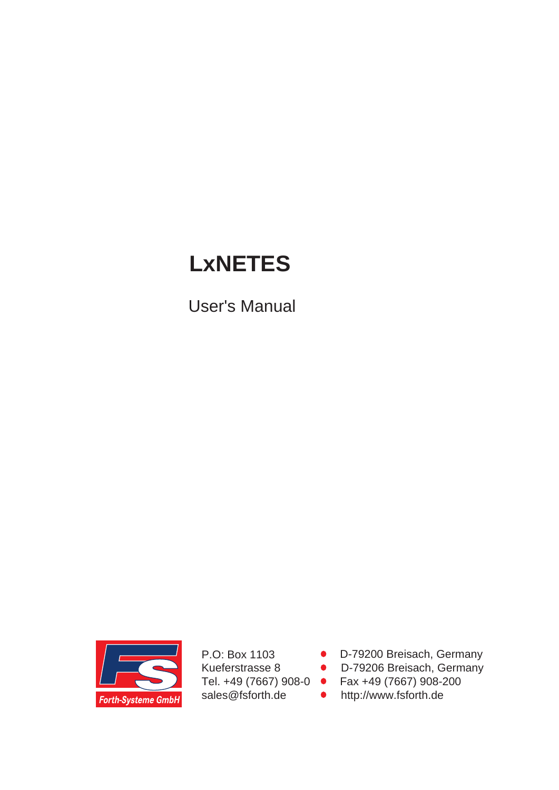# **LxNETES**

User's Manual



P.O: Box 1103 Kueferstrasse 8 Tel. +49 (7667) 908-0 sales@fsforth.de

- D-79200 Breisach, Germany
- D-79206 Breisach, Germany
- Fax +49 (7667) 908-200
- http://www.fsforth.de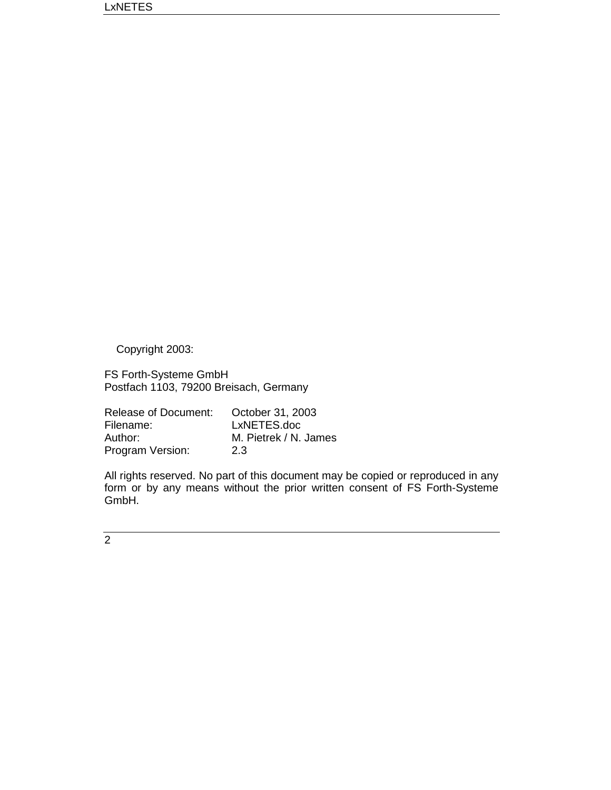Copyright 2003:

FS Forth-Systeme GmbH Postfach 1103, 79200 Breisach, Germany

| Release of Document: | October 31, 2003      |
|----------------------|-----------------------|
| Filename:            | LxNETES.doc           |
| Author:              | M. Pietrek / N. James |
| Program Version:     | 2.3                   |

All rights reserved. No part of this document may be copied or reproduced in any form or by any means without the prior written consent of FS Forth-Systeme GmbH.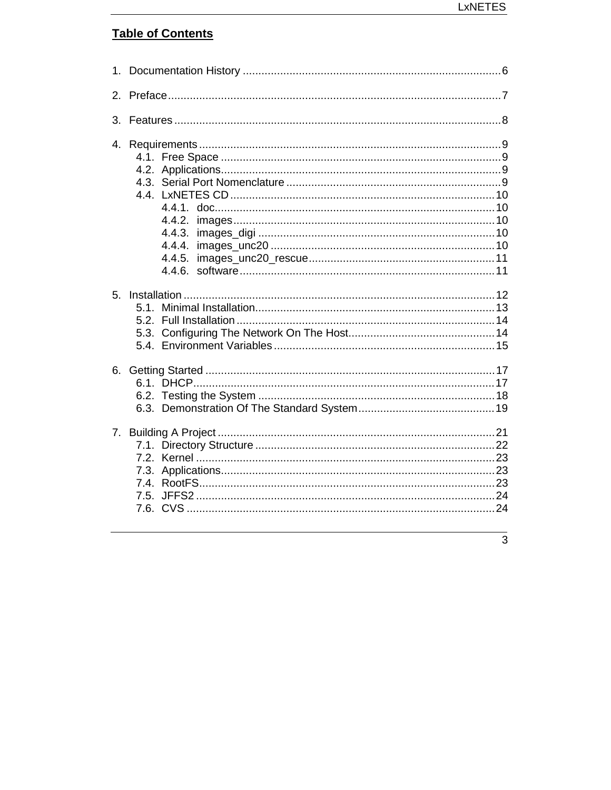# **Table of Contents**

| 4.             | 4.4.2.<br>4.4.3.<br>4.4.4. |  |
|----------------|----------------------------|--|
| 5 <sub>1</sub> |                            |  |
|                |                            |  |
|                | 7.3.<br>7.5.               |  |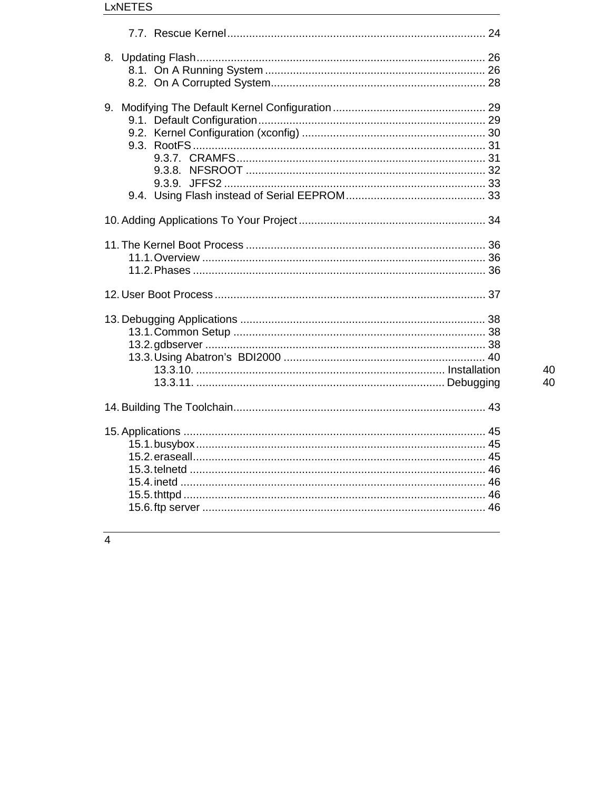| 8.         |  |
|------------|--|
| 9.<br>9.3. |  |
|            |  |
|            |  |
|            |  |
|            |  |
|            |  |
|            |  |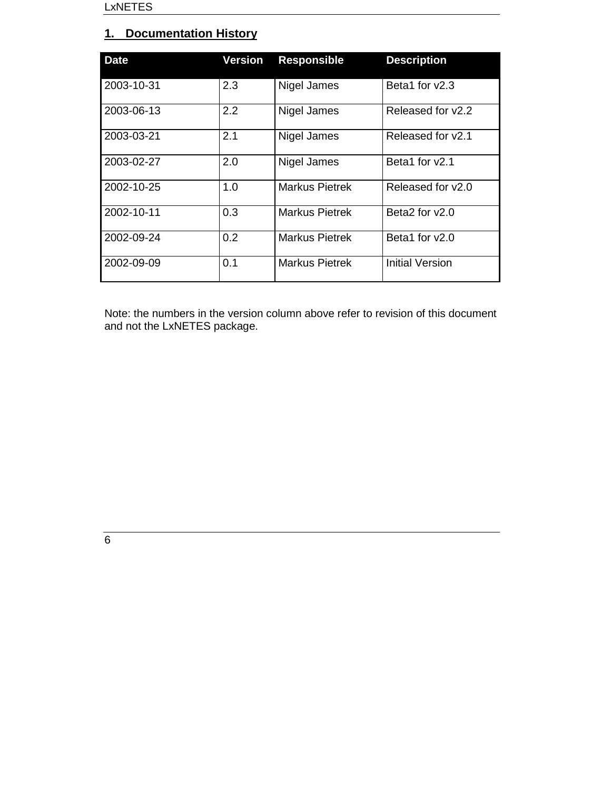# **1. Documentation History**

| <b>Date</b> | <b>Version</b> | <b>Responsible</b>    | <b>Description</b>     |
|-------------|----------------|-----------------------|------------------------|
| 2003-10-31  | 2.3            | Nigel James           | Beta1 for v2.3         |
| 2003-06-13  | 2.2            | Nigel James           | Released for v2.2      |
| 2003-03-21  | 2.1            | Nigel James           | Released for v2.1      |
| 2003-02-27  | 2.0            | Nigel James           | Beta1 for v2.1         |
| 2002-10-25  | 1.0            | <b>Markus Pietrek</b> | Released for y2.0      |
| 2002-10-11  | 0.3            | <b>Markus Pietrek</b> | Beta2 for y2.0         |
| 2002-09-24  | 0.2            | <b>Markus Pietrek</b> | Beta1 for v2.0         |
| 2002-09-09  | 0.1            | <b>Markus Pietrek</b> | <b>Initial Version</b> |

Note: the numbers in the version column above refer to revision of this document and not the LxNETES package.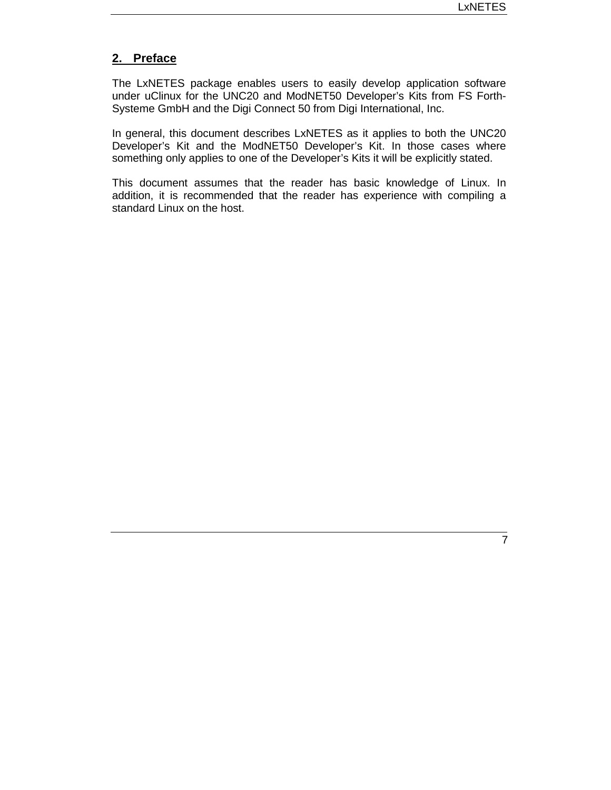# **2. Preface**

The LxNETES package enables users to easily develop application software under uClinux for the UNC20 and ModNET50 Developer's Kits from FS Forth-Systeme GmbH and the Digi Connect 50 from Digi International, Inc.

In general, this document describes LxNETES as it applies to both the UNC20 Developer's Kit and the ModNET50 Developer's Kit. In those cases where something only applies to one of the Developer's Kits it will be explicitly stated.

This document assumes that the reader has basic knowledge of Linux. In addition, it is recommended that the reader has experience with compiling a standard Linux on the host.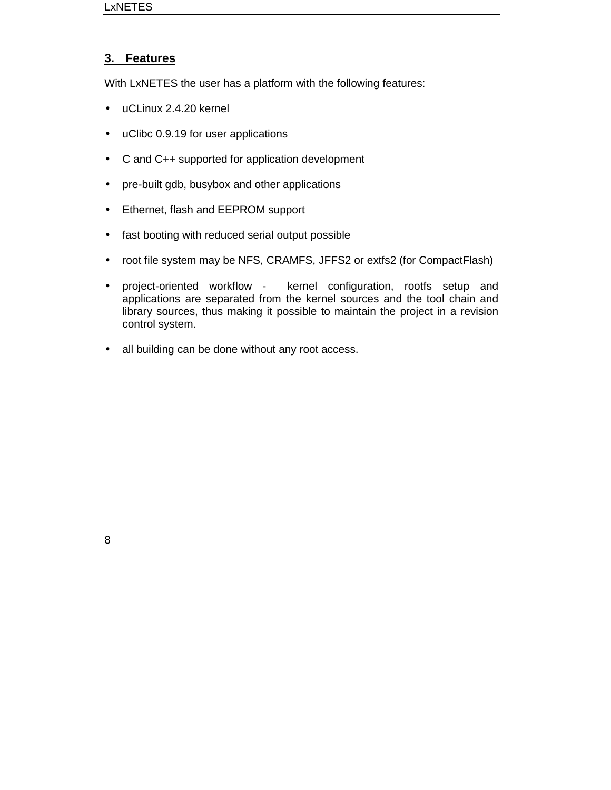# **3. Features**

With LxNETES the user has a platform with the following features:

- uCLinux 2.4.20 kernel
- uClibc 0.9.19 for user applications
- C and C++ supported for application development
- pre-built gdb, busybox and other applications
- Ethernet, flash and EEPROM support
- fast booting with reduced serial output possible
- root file system may be NFS, CRAMFS, JFFS2 or extfs2 (for CompactFlash)
- project-oriented workflow kernel configuration, rootfs setup and applications are separated from the kernel sources and the tool chain and library sources, thus making it possible to maintain the project in a revision control system.
- all building can be done without any root access.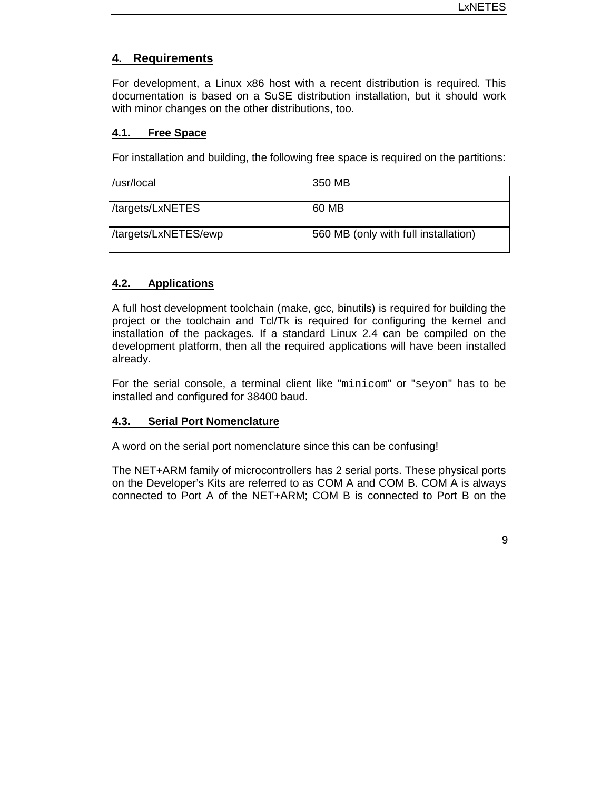# **4. Requirements**

For development, a Linux x86 host with a recent distribution is required. This documentation is based on a SuSE distribution installation, but it should work with minor changes on the other distributions, too.

#### **4.1. Free Space**

For installation and building, the following free space is required on the partitions:

| /usr/local           | 350 MB                               |
|----------------------|--------------------------------------|
| /targets/LxNETES     | 60 MB                                |
| /targets/LxNETES/ewp | 560 MB (only with full installation) |

# **4.2. Applications**

A full host development toolchain (make, gcc, binutils) is required for building the project or the toolchain and Tcl/Tk is required for configuring the kernel and installation of the packages. If a standard Linux 2.4 can be compiled on the development platform, then all the required applications will have been installed already.

For the serial console, a terminal client like "minicom" or "seyon" has to be installed and configured for 38400 baud.

# **4.3. Serial Port Nomenclature**

A word on the serial port nomenclature since this can be confusing!

The NET+ARM family of microcontrollers has 2 serial ports. These physical ports on the Developer's Kits are referred to as COM A and COM B. COM A is always connected to Port A of the NET+ARM; COM B is connected to Port B on the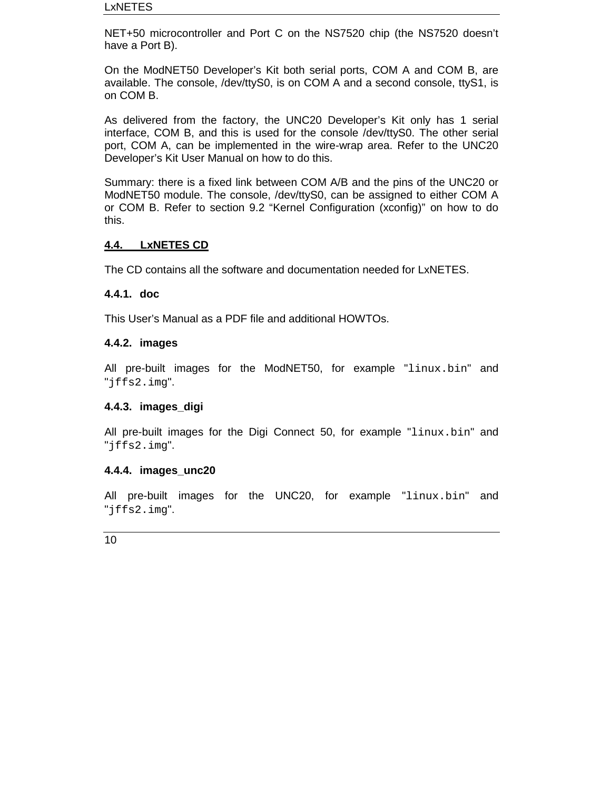NET+50 microcontroller and Port C on the NS7520 chip (the NS7520 doesn't have a Port B).

On the ModNET50 Developer's Kit both serial ports, COM A and COM B, are available. The console, /dev/ttyS0, is on COM A and a second console, ttyS1, is on COM B.

As delivered from the factory, the UNC20 Developer's Kit only has 1 serial interface, COM B, and this is used for the console /dev/ttyS0. The other serial port, COM A, can be implemented in the wire-wrap area. Refer to the UNC20 Developer's Kit User Manual on how to do this.

Summary: there is a fixed link between COM A/B and the pins of the UNC20 or ModNET50 module. The console, /dev/ttyS0, can be assigned to either COM A or COM B. Refer to section 9.2 "Kernel Configuration (xconfig)" on how to do this.

# **4.4. LxNETES CD**

The CD contains all the software and documentation needed for LxNETES.

# **4.4.1. doc**

This User's Manual as a PDF file and additional HOWTOs.

#### **4.4.2. images**

All pre-built images for the ModNET50, for example "linux.bin" and "jffs2.img".

# **4.4.3. images\_digi**

All pre-built images for the Digi Connect 50, for example "linux.bin" and "jffs2.img".

#### **4.4.4. images\_unc20**

All pre-built images for the UNC20, for example "linux.bin" and "jffs2.img".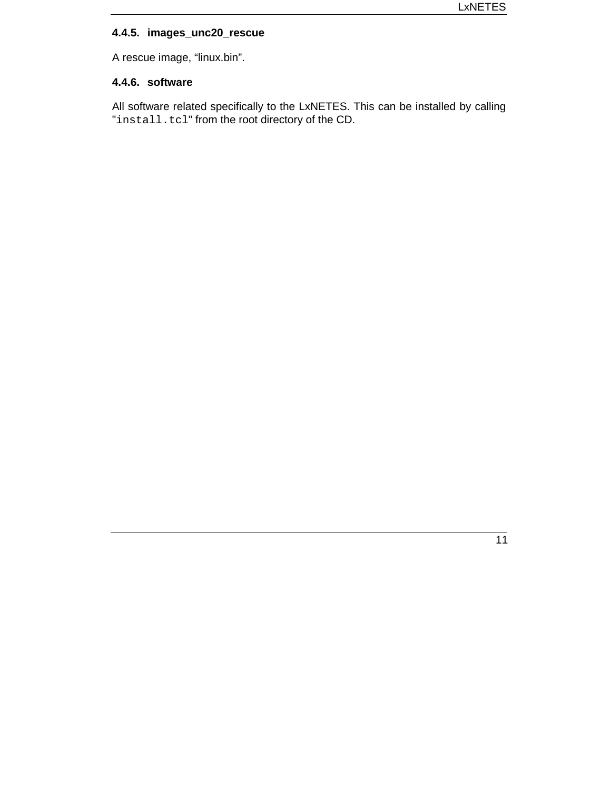# **4.4.5. images\_unc20\_rescue**

A rescue image, "linux.bin".

## **4.4.6. software**

All software related specifically to the LxNETES. This can be installed by calling "install.tcl" from the root directory of the CD.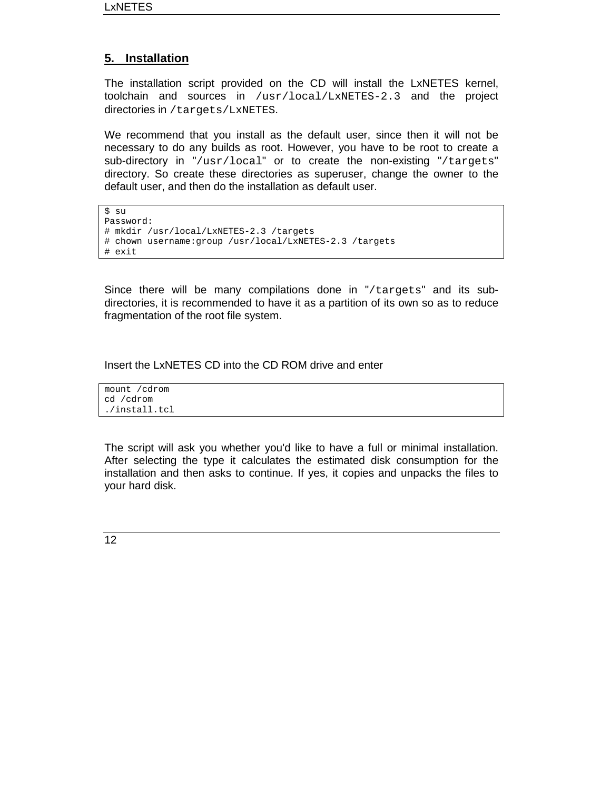# **5. Installation**

The installation script provided on the CD will install the LxNETES kernel, toolchain and sources in /usr/local/LxNETES-2.3 and the project directories in /targets/LxNETES.

We recommend that you install as the default user, since then it will not be necessary to do any builds as root. However, you have to be root to create a sub-directory in "/usr/local" or to create the non-existing "/targets" directory. So create these directories as superuser, change the owner to the default user, and then do the installation as default user.

\$ su Password: # mkdir /usr/local/LxNETES-2.3 /targets # chown username:group /usr/local/LxNETES-2.3 /targets # exit

Since there will be many compilations done in "/targets" and its subdirectories, it is recommended to have it as a partition of its own so as to reduce fragmentation of the root file system.

#### Insert the LxNETES CD into the CD ROM drive and enter

mount /cdrom cd /cdrom ./install.tcl

The script will ask you whether you'd like to have a full or minimal installation. After selecting the type it calculates the estimated disk consumption for the installation and then asks to continue. If yes, it copies and unpacks the files to your hard disk.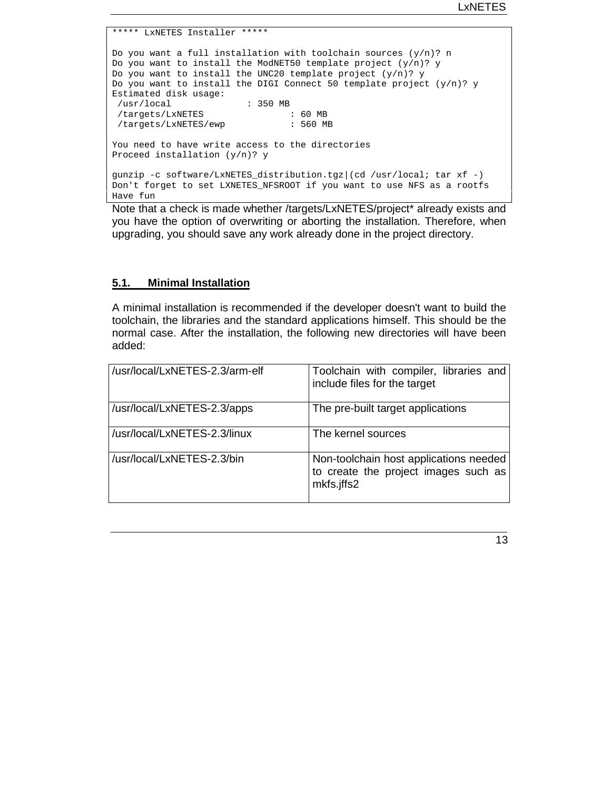```
***** LxNETES Installer *****
Do you want a full installation with toolchain sources (y/n)? n
Do you want to install the ModNET50 template project (y/n)? y
Do you want to install the UNC20 template project (y/n)? y
Do you want to install the DIGI Connect 50 template project (y/n)? y
Estimated disk usage:
/usr/local : 350 MB
/targets/LxNETES
/targets/LxNETES/ewp : 560 MB
You need to have write access to the directories
Proceed installation (y/n)? y
gunzip -c software/LxNETES_distribution.tgz|(cd /usr/local; tar xf -)
Don't forget to set LXNETES_NFSROOT if you want to use NFS as a rootfs
Have fun
```
Note that a check is made whether /targets/LxNETES/project\* already exists and you have the option of overwriting or aborting the installation. Therefore, when upgrading, you should save any work already done in the project directory.

# **5.1. Minimal Installation**

A minimal installation is recommended if the developer doesn't want to build the toolchain, the libraries and the standard applications himself. This should be the normal case. After the installation, the following new directories will have been added:

| /usr/local/LxNETES-2.3/arm-elf | Toolchain with compiler, libraries and<br>include files for the target                       |
|--------------------------------|----------------------------------------------------------------------------------------------|
| /usr/local/LxNETES-2.3/apps    | The pre-built target applications                                                            |
| /usr/local/LxNETES-2.3/linux   | The kernel sources                                                                           |
| /usr/local/LxNETES-2.3/bin     | Non-toolchain host applications needed<br>to create the project images such as<br>mkfs.jffs2 |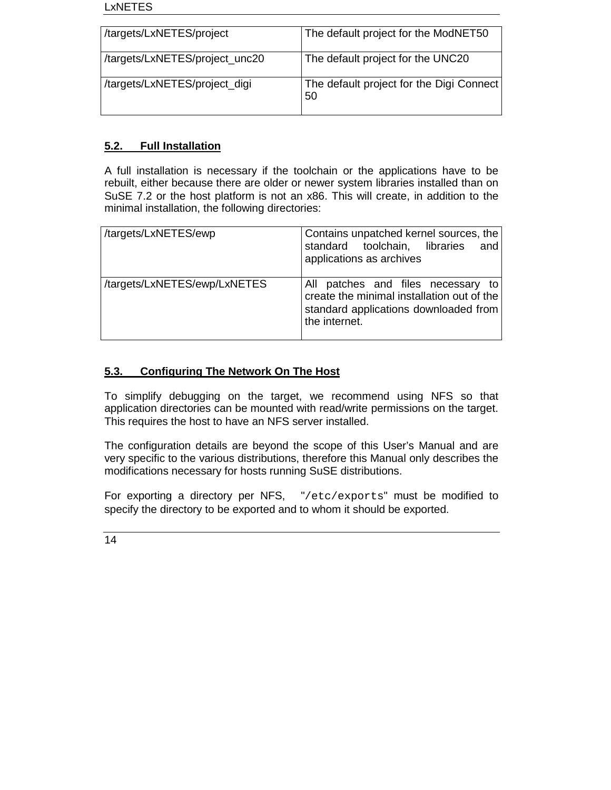#### LxNETES

| /targets/LxNETES/project       | The default project for the ModNET50           |
|--------------------------------|------------------------------------------------|
| /targets/LxNETES/project_unc20 | The default project for the UNC20              |
| /targets/LxNETES/project_digi  | The default project for the Digi Connect<br>50 |

# **5.2. Full Installation**

A full installation is necessary if the toolchain or the applications have to be rebuilt, either because there are older or newer system libraries installed than on SuSE 7.2 or the host platform is not an x86. This will create, in addition to the minimal installation, the following directories:

| /targets/LxNETES/ewp         | Contains unpatched kernel sources, the<br>standard toolchain, libraries<br>and<br>applications as archives                                 |
|------------------------------|--------------------------------------------------------------------------------------------------------------------------------------------|
| /targets/LxNETES/ewp/LxNETES | All patches and files necessary to<br>create the minimal installation out of the<br>standard applications downloaded from<br>the internet. |

# **5.3. Configuring The Network On The Host**

To simplify debugging on the target, we recommend using NFS so that application directories can be mounted with read/write permissions on the target. This requires the host to have an NFS server installed.

The configuration details are beyond the scope of this User's Manual and are very specific to the various distributions, therefore this Manual only describes the modifications necessary for hosts running SuSE distributions.

For exporting a directory per NFS, "/etc/exports" must be modified to specify the directory to be exported and to whom it should be exported.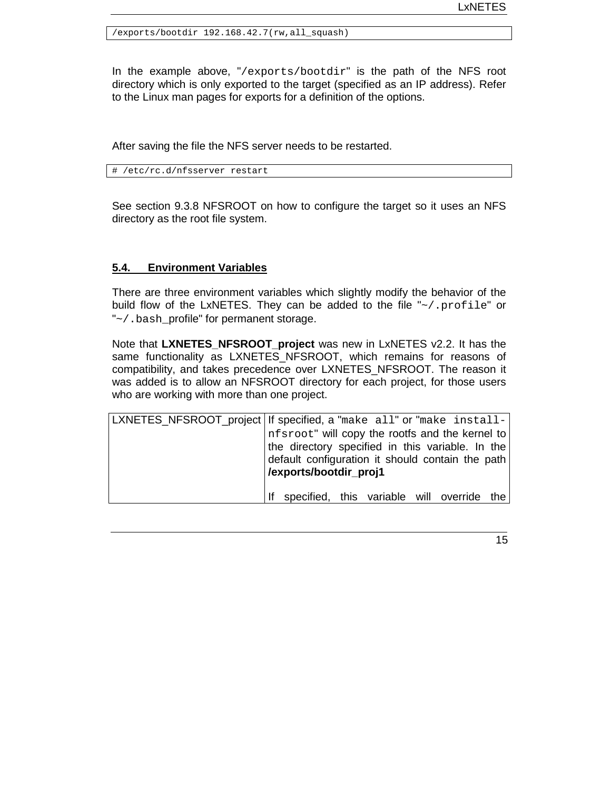/exports/bootdir 192.168.42.7(rw,all\_squash)

In the example above, "/exports/bootdir" is the path of the NFS root directory which is only exported to the target (specified as an IP address). Refer to the Linux man pages for exports for a definition of the options.

After saving the file the NFS server needs to be restarted.

# /etc/rc.d/nfsserver restart

See section 9.3.8 NFSROOT on how to configure the target so it uses an NFS directory as the root file system.

#### **5.4. Environment Variables**

There are three environment variables which slightly modify the behavior of the build flow of the LxNETES. They can be added to the file "~/.profile" or "~/.bash\_profile" for permanent storage.

Note that LXNETES NFSROOT project was new in LxNETES v2.2. It has the same functionality as LXNETES\_NFSROOT, which remains for reasons of compatibility, and takes precedence over LXNETES\_NFSROOT. The reason it was added is to allow an NFSROOT directory for each project, for those users who are working with more than one project.

| LXNETES_NFSROOT_project If specified, a "make all" or "make install- |
|----------------------------------------------------------------------|
| nfsroot" will copy the rootfs and the kernel to                      |
| the directory specified in this variable. In the                     |
| default configuration it should contain the path                     |
| /exports/bootdir_proj1                                               |
|                                                                      |
| specified, this variable will override the<br>Ιf                     |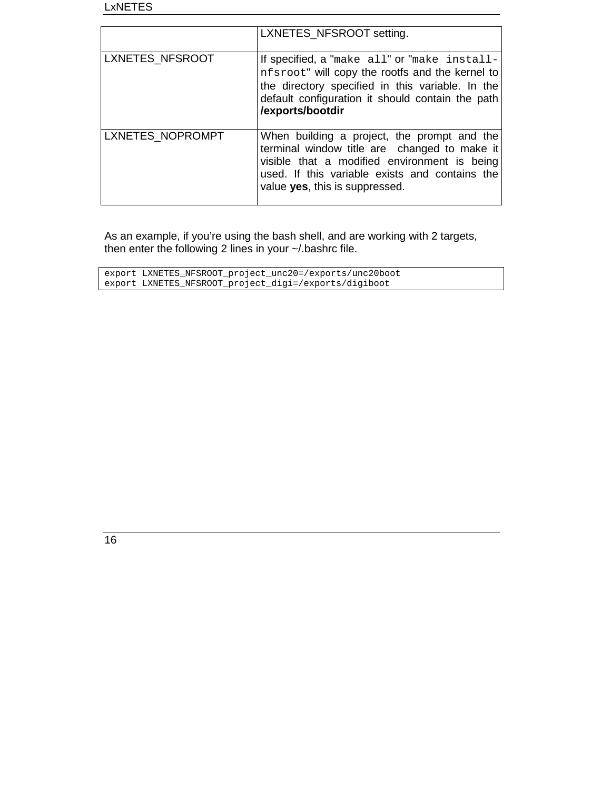|                  | LXNETES_NFSROOT setting.                                                                                                                                                                                                        |
|------------------|---------------------------------------------------------------------------------------------------------------------------------------------------------------------------------------------------------------------------------|
| LXNETES_NFSROOT  | If specified, a "make all" or "make install-<br>nfsroot" will copy the rootfs and the kernel to<br>the directory specified in this variable. In the<br>default configuration it should contain the path<br>/exports/bootdir     |
| LXNETES_NOPROMPT | When building a project, the prompt and the<br>terminal window title are changed to make it<br>visible that a modified environment is being<br>used. If this variable exists and contains the<br>value yes, this is suppressed. |

As an example, if you're using the bash shell, and are working with 2 targets, then enter the following 2 lines in your ~/.bashrc file.

| export LXNETES NFSROOT project unc20=/exports/unc20boot |
|---------------------------------------------------------|
| export LXNETES NFSROOT project digi=/exports/digiboot   |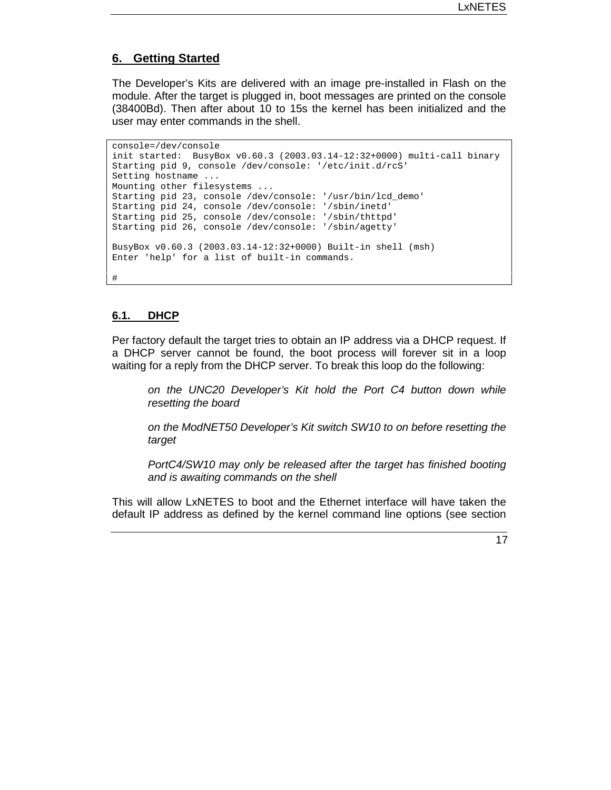#### **6. Getting Started**

The Developer's Kits are delivered with an image pre-installed in Flash on the module. After the target is plugged in, boot messages are printed on the console (38400Bd). Then after about 10 to 15s the kernel has been initialized and the user may enter commands in the shell.

```
console=/dev/console
init started: BusyBox v0.60.3 (2003.03.14-12:32+0000) multi-call binary
Starting pid 9, console /dev/console: '/etc/init.d/rcS'
Setting hostname ...
Mounting other filesystems ...
Starting pid 23, console /dev/console: '/usr/bin/lcd_demo'
Starting pid 24, console /dev/console: '/sbin/inetd'
Starting pid 25, console /dev/console: '/sbin/thttpd'
Starting pid 26, console /dev/console: '/sbin/agetty'
BusyBox v0.60.3 (2003.03.14-12:32+0000) Built-in shell (msh)
Enter 'help' for a list of built-in commands.
#
```
#### **6.1. DHCP**

Per factory default the target tries to obtain an IP address via a DHCP request. If a DHCP server cannot be found, the boot process will forever sit in a loop waiting for a reply from the DHCP server. To break this loop do the following:

*on the UNC20 Developer's Kit hold the Port C4 button down while resetting the board*

*on the ModNET50 Developer's Kit switch SW10 to on before resetting the target*

*PortC4/SW10 may only be released after the target has finished booting and is awaiting commands on the shell*

This will allow LxNETES to boot and the Ethernet interface will have taken the default IP address as defined by the kernel command line options (see section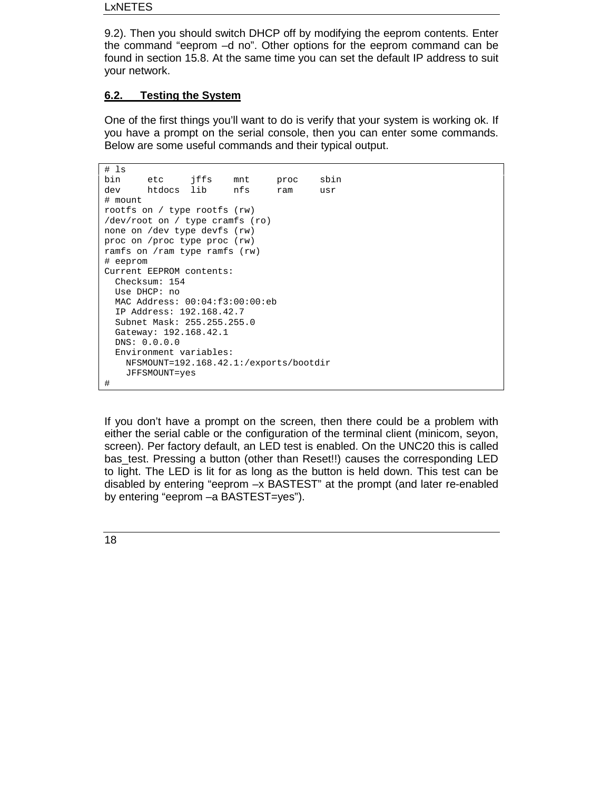#### LxNETES

9.2). Then you should switch DHCP off by modifying the eeprom contents. Enter the command "eeprom –d no". Other options for the eeprom command can be found in section 15.8. At the same time you can set the default IP address to suit your network.

# **6.2. Testing the System**

One of the first things you'll want to do is verify that your system is working ok. If you have a prompt on the serial console, then you can enter some commands. Below are some useful commands and their typical output.

```
# ls
bin etc jffs mnt proc sbin
dev htdocs lib nfs ram usr
# mount
rootfs on / type rootfs (rw)
/dev/root on / type cramfs (ro)
none on /dev type devfs (rw)
proc on /proc type proc (rw)
ramfs on /ram type ramfs (rw)
# eeprom
Current EEPROM contents:
 Checksum: 154
 Use DHCP: no
 MAC Address: 00:04:f3:00:00:eb
 IP Address: 192.168.42.7
 Subnet Mask: 255.255.255.0
 Gateway: 192.168.42.1
 DNS: 0.0.0.0
 Environment variables:
   NFSMOUNT=192.168.42.1:/exports/bootdir
   JFFSMOUNT=yes
#
```
If you don't have a prompt on the screen, then there could be a problem with either the serial cable or the configuration of the terminal client (minicom, seyon, screen). Per factory default, an LED test is enabled. On the UNC20 this is called bas\_test. Pressing a button (other than Reset!!) causes the corresponding LED to light. The LED is lit for as long as the button is held down. This test can be disabled by entering "eeprom –x BASTEST" at the prompt (and later re-enabled by entering "eeprom –a BASTEST=yes").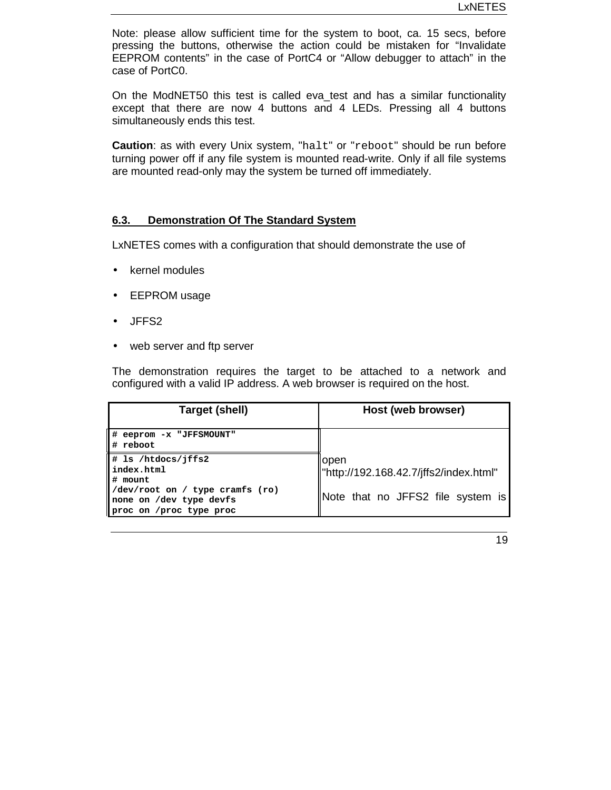Note: please allow sufficient time for the system to boot, ca. 15 secs, before pressing the buttons, otherwise the action could be mistaken for "Invalidate EEPROM contents" in the case of PortC4 or "Allow debugger to attach" in the case of PortC0.

On the ModNET50 this test is called eva\_test and has a similar functionality except that there are now 4 buttons and 4 LEDs. Pressing all 4 buttons simultaneously ends this test.

**Caution**: as with every Unix system, "halt" or "reboot" should be run before turning power off if any file system is mounted read-write. Only if all file systems are mounted read-only may the system be turned off immediately.

#### **6.3. Demonstration Of The Standard System**

LxNETES comes with a configuration that should demonstrate the use of

- kernel modules
- EEPROM usage
- JFFS2
- web server and ftp server

The demonstration requires the target to be attached to a network and configured with a valid IP address. A web browser is required on the host.

| Target (shell)                                                                                                                       | Host (web browser)                                                                    |
|--------------------------------------------------------------------------------------------------------------------------------------|---------------------------------------------------------------------------------------|
| #<br>eeprom -x "JFFSMOUNT"<br>reboot                                                                                                 |                                                                                       |
| # 1s /htdocs/jffs2<br>index.html<br># mount<br>/dev/root on / type cramfs (ro)<br>none on /dev type devfs<br>proc on /proc type proc | lopen<br> "http://192.168.42.7/jffs2/index.html"<br>Note that no JFFS2 file system is |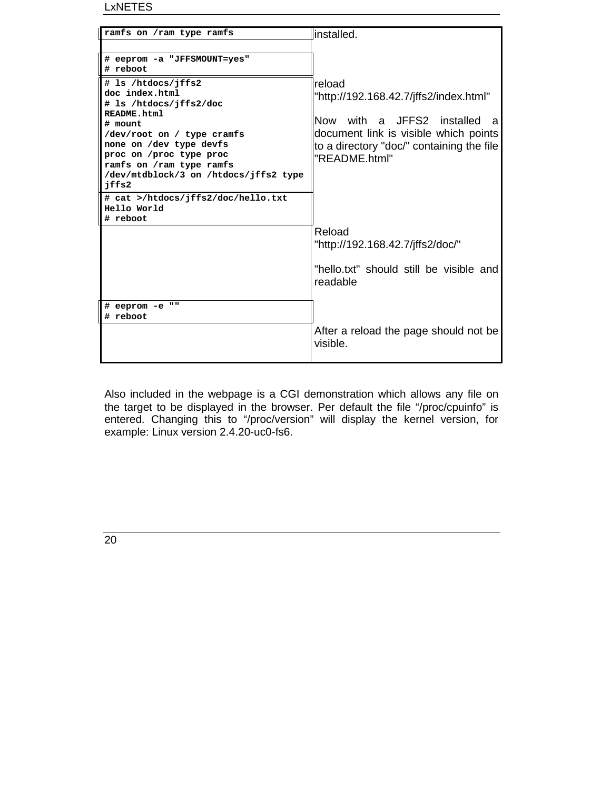LxNETES

| ramfs on /ram type ramfs                                                                                                                                                                                                                          | linstalled.                                                                                                                                                                                 |
|---------------------------------------------------------------------------------------------------------------------------------------------------------------------------------------------------------------------------------------------------|---------------------------------------------------------------------------------------------------------------------------------------------------------------------------------------------|
| # eeprom -a "JFFSMOUNT=yes"<br># reboot                                                                                                                                                                                                           |                                                                                                                                                                                             |
| # 1s /htdocs/jffs2<br>doc index.html<br># 1s /htdocs/jffs2/doc<br>README.html<br># mount<br>/dev/root on / type cramfs<br>none on /dev type devfs<br>proc on /proc type proc<br>ramfs on /ram type ramfs<br>/dev/mtdblock/3 on /htdocs/jffs2 type | Ireload<br>"http://192.168.42.7/jffs2/index.html"<br>Now with a JFFS2 installed<br>a<br>document link is visible which points<br>to a directory "doc/" containing the file<br>"README.html" |
| jffs2<br># cat >/htdocs/jffs2/doc/hello.txt<br>Hello World<br># reboot                                                                                                                                                                            |                                                                                                                                                                                             |
|                                                                                                                                                                                                                                                   | Reload<br>"http://192.168.42.7/jffs2/doc/"                                                                                                                                                  |
|                                                                                                                                                                                                                                                   | "hello.txt" should still be visible and<br>readable                                                                                                                                         |
| # eeprom -e<br>. .<br># reboot                                                                                                                                                                                                                    | After a reload the page should not be<br>visible                                                                                                                                            |
|                                                                                                                                                                                                                                                   |                                                                                                                                                                                             |

Also included in the webpage is a CGI demonstration which allows any file on the target to be displayed in the browser. Per default the file "/proc/cpuinfo" is entered. Changing this to "/proc/version" will display the kernel version, for example: Linux version 2.4.20-uc0-fs6.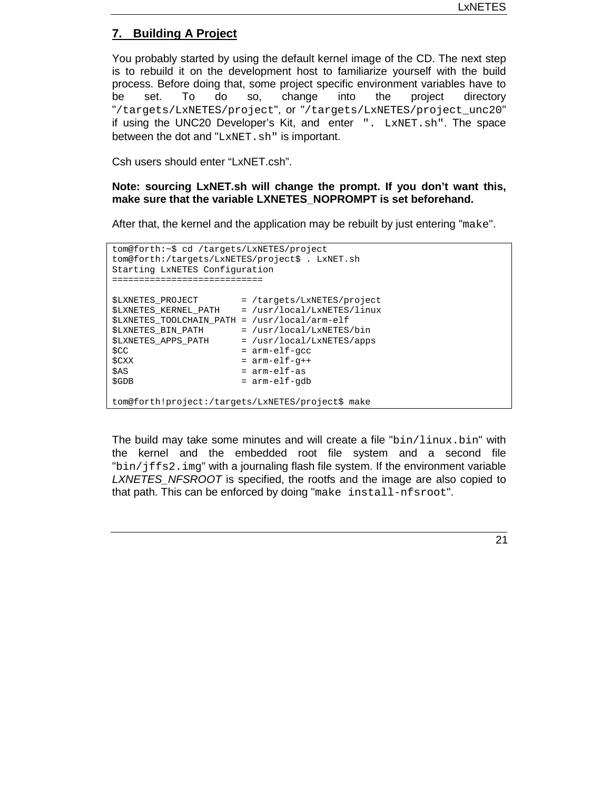# **7. Building A Project**

You probably started by using the default kernel image of the CD. The next step is to rebuild it on the development host to familiarize yourself with the build process. Before doing that, some project specific environment variables have to be set. To do so, change into the project directory "/targets/LxNETES/project", or "/targets/LxNETES/project\_unc20" if using the UNC20 Developer's Kit, and enter ". LxNET.sh". The space between the dot and "LxNET.sh" is important.

Csh users should enter "LxNET.csh".

**Note: sourcing LxNET.sh will change the prompt. If you don't want this, make sure that the variable LXNETES\_NOPROMPT is set beforehand.**

After that, the kernel and the application may be rebuilt by just entering "make".

```
tom@forth:~$ cd /targets/LxNETES/project
tom@forth:/targets/LxNETES/project$ . LxNET.sh
Starting LxNETES Configuration
============================
$LXNETES_PROJECT = /targets/LxNETES/project
$LXNETES_KERNEL_PATH = /usr/local/LxNETES/linux
$LXNETES_TOOLCHAIN_PATH = /usr/local/arm-elf
$LXNETES_BIN_PATH = /usr/local/LxNETES/bin<br>$LXNETES_APPS_PATH = /usr/local/LxNETES/apps
                      = /usr/local/LxNETES/apps
$CC = arm-elf-gcc<br>$CXX = arm-elf-q++
                       = arm-elf-g++
$AS = arm-elf-as$GDB = arm=elf-qdbtom@forth!project:/targets/LxNETES/project$ make
```
The build may take some minutes and will create a file " $bin/limits$ .bin" with the kernel and the embedded root file system and a second file "bin/jffs2.img" with a journaling flash file system. If the environment variable *LXNETES\_NFSROOT* is specified, the rootfs and the image are also copied to that path. This can be enforced by doing "make install-nfsroot".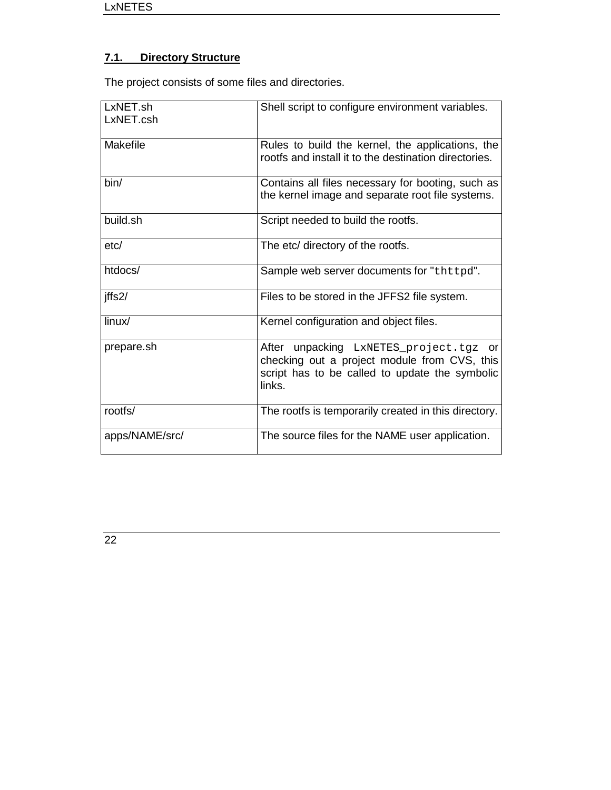# **7.1. Directory Structure**

The project consists of some files and directories.

| LxNET.sh<br>LxNET.csh | Shell script to configure environment variables.                                                                                                   |
|-----------------------|----------------------------------------------------------------------------------------------------------------------------------------------------|
| Makefile              | Rules to build the kernel, the applications, the<br>rootfs and install it to the destination directories.                                          |
| bin/                  | Contains all files necessary for booting, such as<br>the kernel image and separate root file systems.                                              |
| build.sh              | Script needed to build the rootfs.                                                                                                                 |
| etc/                  | The etc/ directory of the rootfs.                                                                                                                  |
| htdocs/               | Sample web server documents for "thttpd".                                                                                                          |
| jffs2/                | Files to be stored in the JFFS2 file system.                                                                                                       |
| linux/                | Kernel configuration and object files.                                                                                                             |
| prepare.sh            | After unpacking LxNETES_project.tgz or<br>checking out a project module from CVS, this<br>script has to be called to update the symbolic<br>links. |
| rootfs/               | The rootfs is temporarily created in this directory.                                                                                               |
| apps/NAME/src/        | The source files for the NAME user application.                                                                                                    |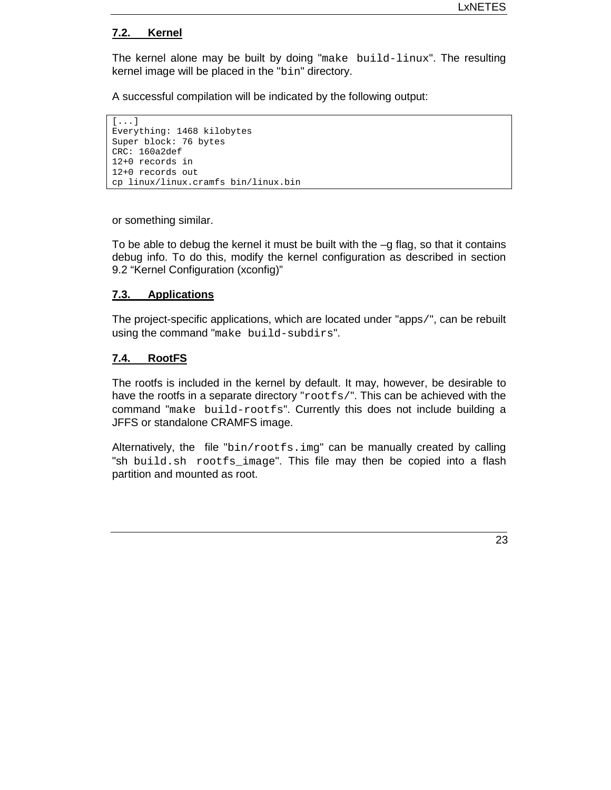#### **7.2. Kernel**

The kernel alone may be built by doing "make build-linux". The resulting kernel image will be placed in the "bin" directory.

A successful compilation will be indicated by the following output:

```
[...]
Everything: 1468 kilobytes
Super block: 76 bytes
CRC: 160a2def
12+0 records in
12+0 records out
cp linux/linux.cramfs bin/linux.bin
```
or something similar.

To be able to debug the kernel it must be built with the –g flag, so that it contains debug info. To do this, modify the kernel configuration as described in section 9.2 "Kernel Configuration (xconfig)"

#### **7.3. Applications**

The project-specific applications, which are located under "apps/", can be rebuilt using the command "make build-subdirs".

#### **7.4. RootFS**

The rootfs is included in the kernel by default. It may, however, be desirable to have the rootfs in a separate directory "rootfs/". This can be achieved with the command "make build-rootfs". Currently this does not include building a JFFS or standalone CRAMFS image.

Alternatively, the file "bin/rootfs.img" can be manually created by calling "sh build.sh rootfs\_image". This file may then be copied into a flash partition and mounted as root.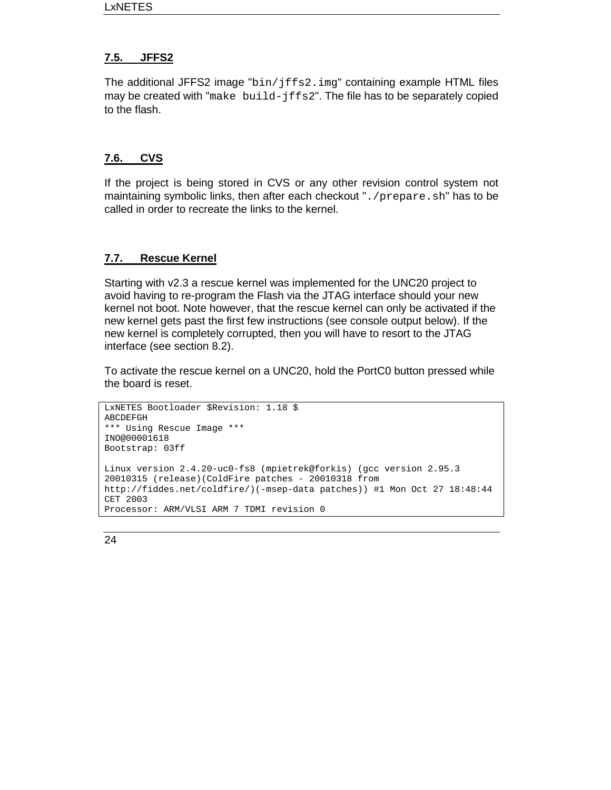# **7.5. JFFS2**

The additional JFFS2 image "bin/jffs2.img" containing example HTML files may be created with "make build- $iffs2$ ". The file has to be separately copied to the flash.

# **7.6. CVS**

If the project is being stored in CVS or any other revision control system not maintaining symbolic links, then after each checkout ". /prepare.sh" has to be called in order to recreate the links to the kernel.

# **7.7. Rescue Kernel**

Starting with v2.3 a rescue kernel was implemented for the UNC20 project to avoid having to re-program the Flash via the JTAG interface should your new kernel not boot. Note however, that the rescue kernel can only be activated if the new kernel gets past the first few instructions (see console output below). If the new kernel is completely corrupted, then you will have to resort to the JTAG interface (see section 8.2).

To activate the rescue kernel on a UNC20, hold the PortC0 button pressed while the board is reset.

```
LxNETES Bootloader $Revision: 1.18 $
ABCDEFGH
*** Using Rescue Image ***
INO@00001618
Bootstrap: 03ff
Linux version 2.4.20-uc0-fs8 (mpietrek@forkis) (gcc version 2.95.3
20010315 (release)(ColdFire patches - 20010318 from
http://fiddes.net/coldfire/)(-msep-data patches)) #1 Mon Oct 27 18:48:44
CET 2003
Processor: ARM/VLSI ARM 7 TDMI revision 0
```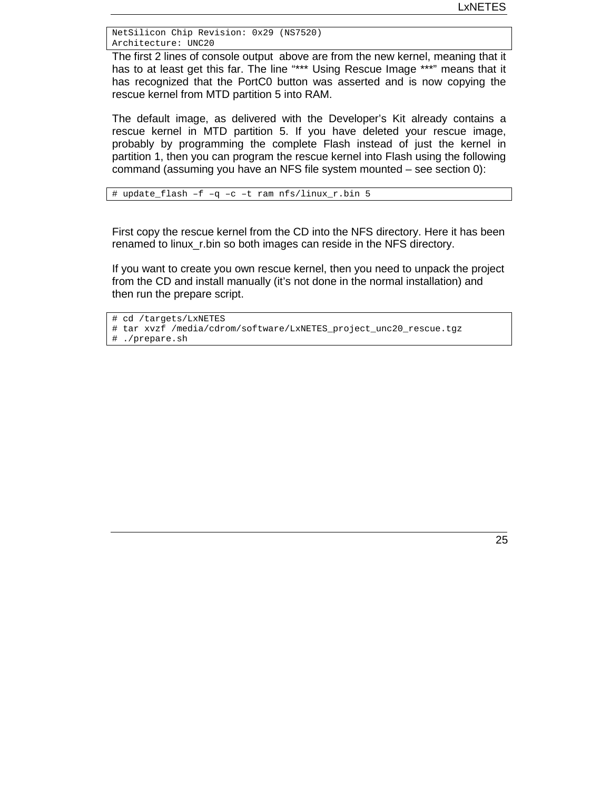NetSilicon Chip Revision: 0x29 (NS7520) Architecture: UNC20

The first 2 lines of console output above are from the new kernel, meaning that it has to at least get this far. The line "\*\*\* Using Rescue Image \*\*\*" means that it has recognized that the PortC0 button was asserted and is now copying the rescue kernel from MTD partition 5 into RAM.

The default image, as delivered with the Developer's Kit already contains a rescue kernel in MTD partition 5. If you have deleted your rescue image, probably by programming the complete Flash instead of just the kernel in partition 1, then you can program the rescue kernel into Flash using the following command (assuming you have an NFS file system mounted – see section 0):

# update\_flash –f –q –c –t ram nfs/linux\_r.bin 5

First copy the rescue kernel from the CD into the NFS directory. Here it has been renamed to linux\_r.bin so both images can reside in the NFS directory.

If you want to create you own rescue kernel, then you need to unpack the project from the CD and install manually (it's not done in the normal installation) and then run the prepare script.

```
# cd /targets/LxNETES
```
- # tar xvzf /media/cdrom/software/LxNETES\_project\_unc20\_rescue.tgz # ./prepare.sh
-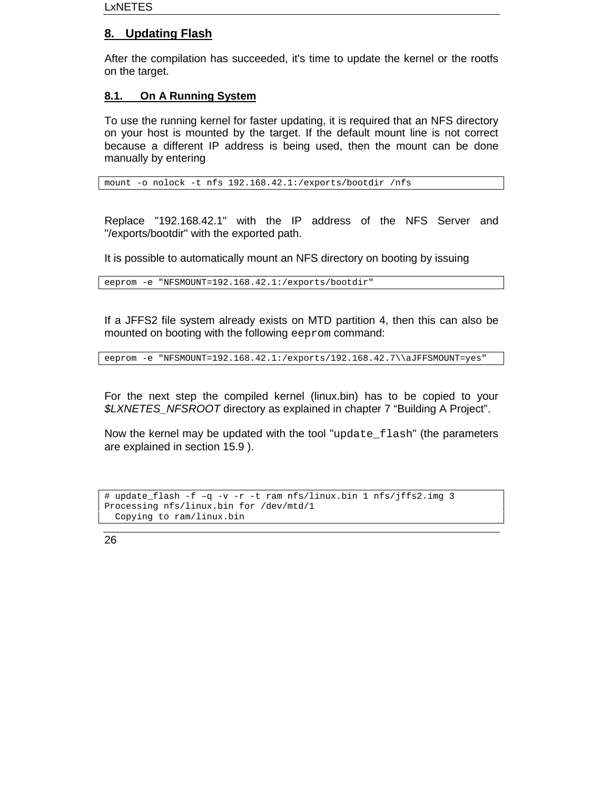# **8. Updating Flash**

After the compilation has succeeded, it's time to update the kernel or the rootfs on the target.

# **8.1. On A Running System**

To use the running kernel for faster updating, it is required that an NFS directory on your host is mounted by the target. If the default mount line is not correct because a different IP address is being used, then the mount can be done manually by entering

mount -o nolock -t nfs 192.168.42.1:/exports/bootdir /nfs

Replace "192.168.42.1" with the IP address of the NFS Server and "/exports/bootdir" with the exported path.

It is possible to automatically mount an NFS directory on booting by issuing

eeprom -e "NFSMOUNT=192.168.42.1:/exports/bootdir"

If a JFFS2 file system already exists on MTD partition 4, then this can also be mounted on booting with the following eeprom command:

eeprom -e "NFSMOUNT=192.168.42.1:/exports/192.168.42.7\\aJFFSMOUNT=yes"

For the next step the compiled kernel (linux.bin) has to be copied to your *\$LXNETES\_NFSROOT* directory as explained in chapter 7 "Building A Project".

Now the kernel may be updated with the tool "update flash" (the parameters are explained in section 15.9 ).

```
# update_flash -f –q -v -r -t ram nfs/linux.bin 1 nfs/jffs2.img 3
Processing nfs/linux.bin for /dev/mtd/1
 Copying to ram/linux.bin
```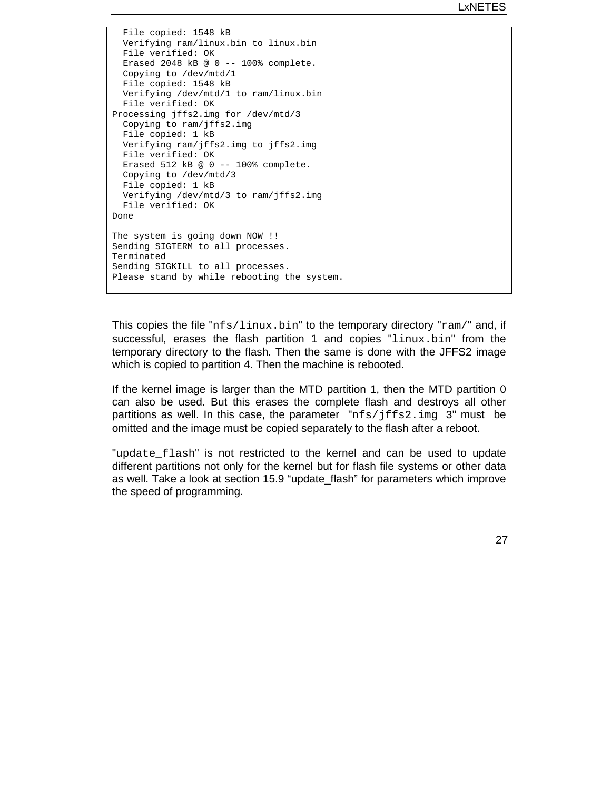File copied: 1548 kB Verifying ram/linux.bin to linux.bin File verified: OK Erased 2048 kB @ 0 -- 100% complete. Copying to /dev/mtd/1 File copied: 1548 kB Verifying /dev/mtd/1 to ram/linux.bin File verified: OK Processing jffs2.img for /dev/mtd/3 Copying to ram/jffs2.img File copied: 1 kB Verifying ram/jffs2.img to jffs2.img File verified: OK Erased 512 kB @ 0 -- 100% complete. Copying to /dev/mtd/3 File copied: 1 kB Verifying /dev/mtd/3 to ram/jffs2.img File verified: OK Done The system is going down NOW !! Sending SIGTERM to all processes. Terminated Sending SIGKILL to all processes. Please stand by while rebooting the system.

This copies the file " $nfs/linux,bin"$  to the temporary directory " $ram/"$  and, if successful, erases the flash partition 1 and copies "linux.bin" from the temporary directory to the flash. Then the same is done with the JFFS2 image which is copied to partition 4. Then the machine is rebooted.

If the kernel image is larger than the MTD partition 1, then the MTD partition 0 can also be used. But this erases the complete flash and destroys all other partitions as well. In this case, the parameter "nfs/jffs2.img 3" must be omitted and the image must be copied separately to the flash after a reboot.

"update\_flash" is not restricted to the kernel and can be used to update different partitions not only for the kernel but for flash file systems or other data as well. Take a look at section 15.9 "update\_flash" for parameters which improve the speed of programming.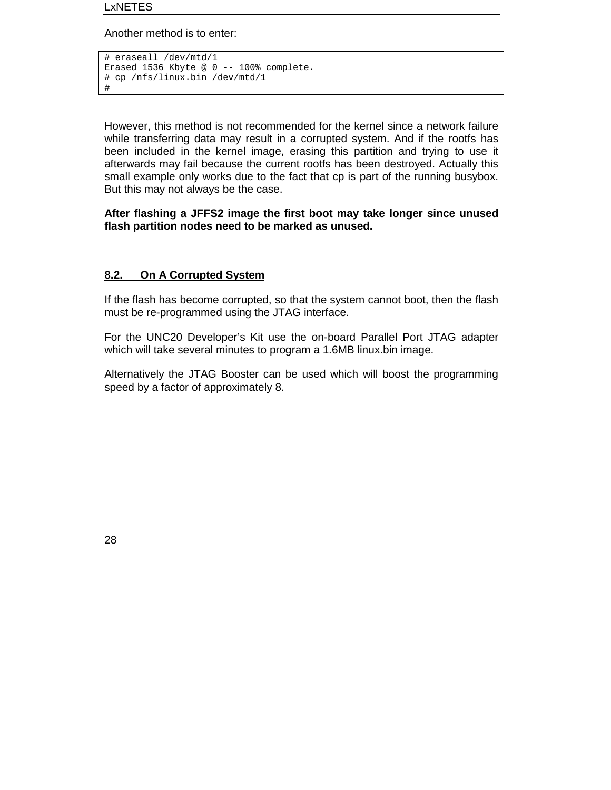Another method is to enter:

```
# eraseall /dev/mtd/1
Erased 1536 Kbyte @ 0 -- 100% complete.
# cp /nfs/linux.bin /dev/mtd/1
#
```
However, this method is not recommended for the kernel since a network failure while transferring data may result in a corrupted system. And if the rootfs has been included in the kernel image, erasing this partition and trying to use it afterwards may fail because the current rootfs has been destroyed. Actually this small example only works due to the fact that cp is part of the running busybox. But this may not always be the case.

#### **After flashing a JFFS2 image the first boot may take longer since unused flash partition nodes need to be marked as unused.**

#### **8.2. On A Corrupted System**

If the flash has become corrupted, so that the system cannot boot, then the flash must be re-programmed using the JTAG interface.

For the UNC20 Developer's Kit use the on-board Parallel Port JTAG adapter which will take several minutes to program a 1.6MB linux.bin image.

Alternatively the JTAG Booster can be used which will boost the programming speed by a factor of approximately 8.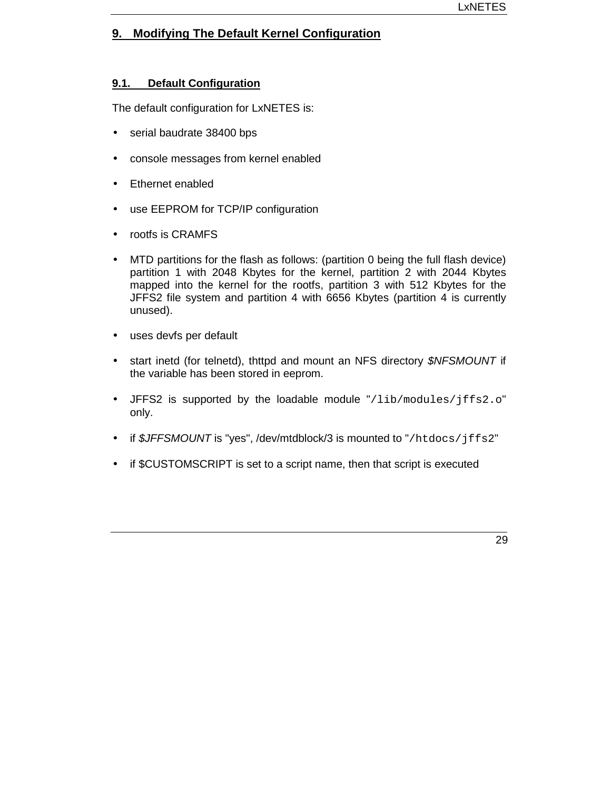# **9. Modifying The Default Kernel Configuration**

#### **9.1. Default Configuration**

The default configuration for LxNETES is:

- serial baudrate 38400 bps
- console messages from kernel enabled
- Ethernet enabled
- use EEPROM for TCP/IP configuration
- rootfs is CRAMFS
- MTD partitions for the flash as follows: (partition 0 being the full flash device) partition 1 with 2048 Kbytes for the kernel, partition 2 with 2044 Kbytes mapped into the kernel for the rootfs, partition 3 with 512 Kbytes for the JFFS2 file system and partition 4 with 6656 Kbytes (partition 4 is currently unused).
- uses devfs per default
- start inetd (for telnetd), thttpd and mount an NFS directory *\$NFSMOUNT* if the variable has been stored in eeprom.
- JFFS2 is supported by the loadable module "/lib/modules/jffs2.o" only.
- if *\$JFFSMOUNT* is "yes", /dev/mtdblock/3 is mounted to "/htdocs/jffs2"
- if \$CUSTOMSCRIPT is set to a script name, then that script is executed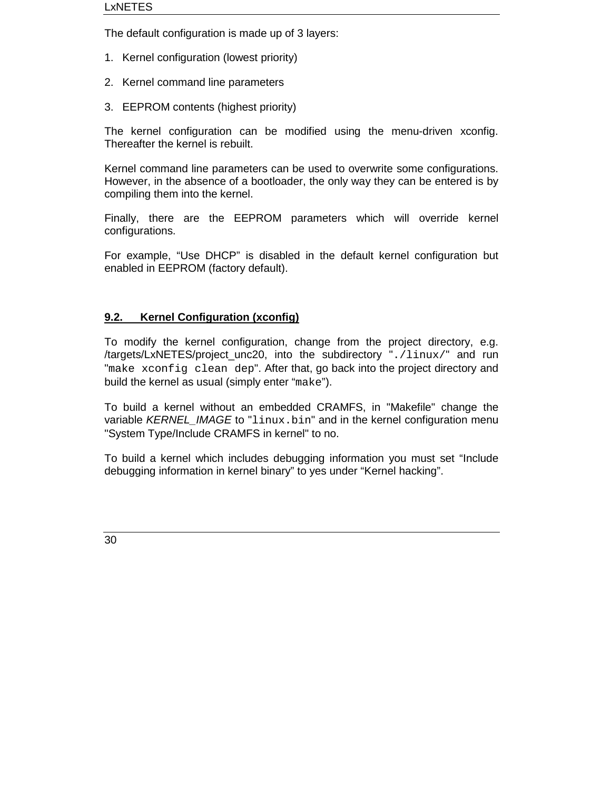The default configuration is made up of 3 layers:

- 1. Kernel configuration (lowest priority)
- 2. Kernel command line parameters
- 3. EEPROM contents (highest priority)

The kernel configuration can be modified using the menu-driven xconfig. Thereafter the kernel is rebuilt.

Kernel command line parameters can be used to overwrite some configurations. However, in the absence of a bootloader, the only way they can be entered is by compiling them into the kernel.

Finally, there are the EEPROM parameters which will override kernel configurations.

For example, "Use DHCP" is disabled in the default kernel configuration but enabled in EEPROM (factory default).

# **9.2. Kernel Configuration (xconfig)**

To modify the kernel configuration, change from the project directory, e.g. /targets/LxNETES/project\_unc20, into the subdirectory "./linux/" and run "make xconfig clean dep". After that, go back into the project directory and build the kernel as usual (simply enter "make").

To build a kernel without an embedded CRAMFS, in "Makefile" change the variable *KERNEL\_IMAGE* to "linux.bin" and in the kernel configuration menu "System Type/Include CRAMFS in kernel" to no.

To build a kernel which includes debugging information you must set "Include debugging information in kernel binary" to yes under "Kernel hacking".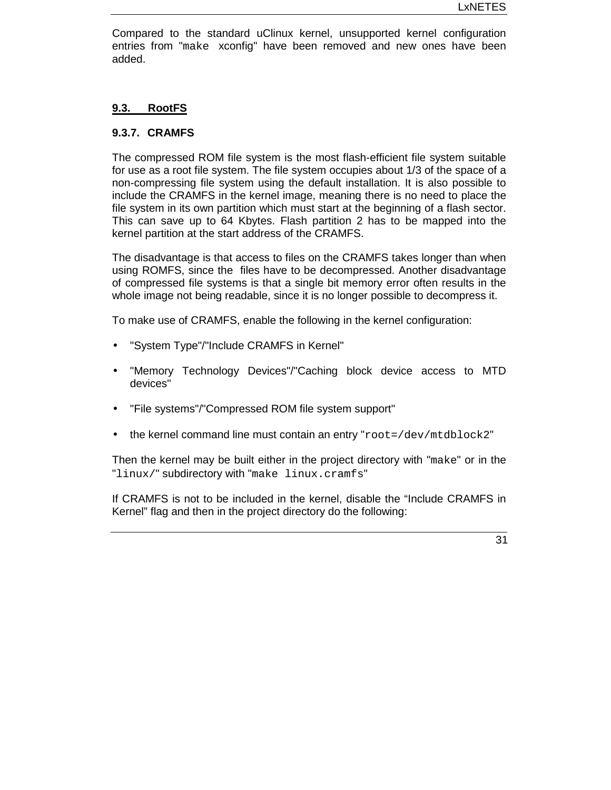Compared to the standard uClinux kernel, unsupported kernel configuration entries from "make xconfig" have been removed and new ones have been added.

#### **9.3. RootFS**

#### **9.3.7. CRAMFS**

The compressed ROM file system is the most flash-efficient file system suitable for use as a root file system. The file system occupies about 1/3 of the space of a non-compressing file system using the default installation. It is also possible to include the CRAMFS in the kernel image, meaning there is no need to place the file system in its own partition which must start at the beginning of a flash sector. This can save up to 64 Kbytes. Flash partition 2 has to be mapped into the kernel partition at the start address of the CRAMFS.

The disadvantage is that access to files on the CRAMFS takes longer than when using ROMFS, since the files have to be decompressed. Another disadvantage of compressed file systems is that a single bit memory error often results in the whole image not being readable, since it is no longer possible to decompress it.

To make use of CRAMFS, enable the following in the kernel configuration:

- "System Type"/"Include CRAMFS in Kernel"
- "Memory Technology Devices"/"Caching block device access to MTD devices"
- "File systems"/"Compressed ROM file system support"
- the kernel command line must contain an entry "root=/dev/mtdblock2"

Then the kernel may be built either in the project directory with "make" or in the "linux/" subdirectory with "make linux.cramfs"

If CRAMFS is not to be included in the kernel, disable the "Include CRAMFS in Kernel" flag and then in the project directory do the following: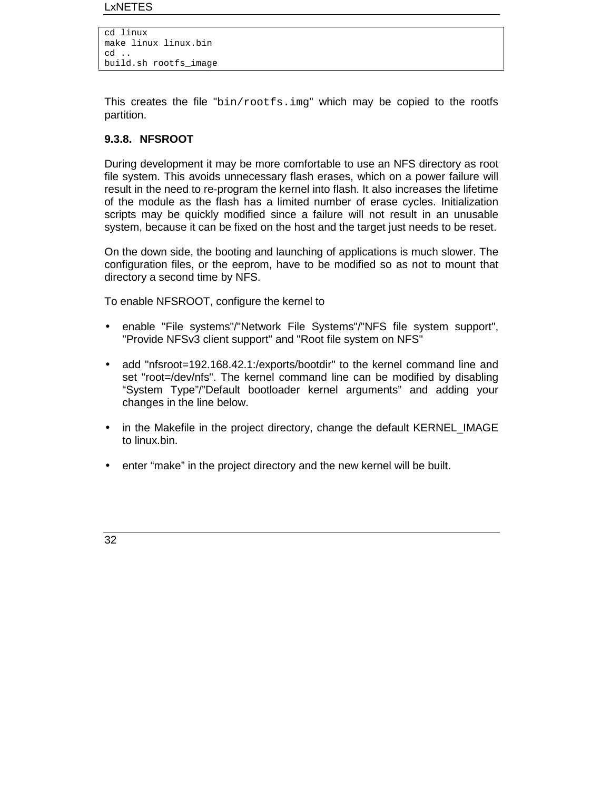#### LxNETES

cd linux make linux linux.bin cd .. build.sh rootfs\_image

This creates the file " $bin/rootfs$ . img" which may be copied to the rootfs partition.

#### **9.3.8. NFSROOT**

During development it may be more comfortable to use an NFS directory as root file system. This avoids unnecessary flash erases, which on a power failure will result in the need to re-program the kernel into flash. It also increases the lifetime of the module as the flash has a limited number of erase cycles. Initialization scripts may be quickly modified since a failure will not result in an unusable system, because it can be fixed on the host and the target just needs to be reset.

On the down side, the booting and launching of applications is much slower. The configuration files, or the eeprom, have to be modified so as not to mount that directory a second time by NFS.

To enable NFSROOT, configure the kernel to

- enable "File systems"/"Network File Systems"/"NFS file system support", "Provide NFSv3 client support" and "Root file system on NFS"
- add "nfsroot=192.168.42.1:/exports/bootdir" to the kernel command line and set "root=/dev/nfs". The kernel command line can be modified by disabling "System Type"/"Default bootloader kernel arguments" and adding your changes in the line below.
- in the Makefile in the project directory, change the default KERNEL\_IMAGE to linux.bin.
- enter "make" in the project directory and the new kernel will be built.

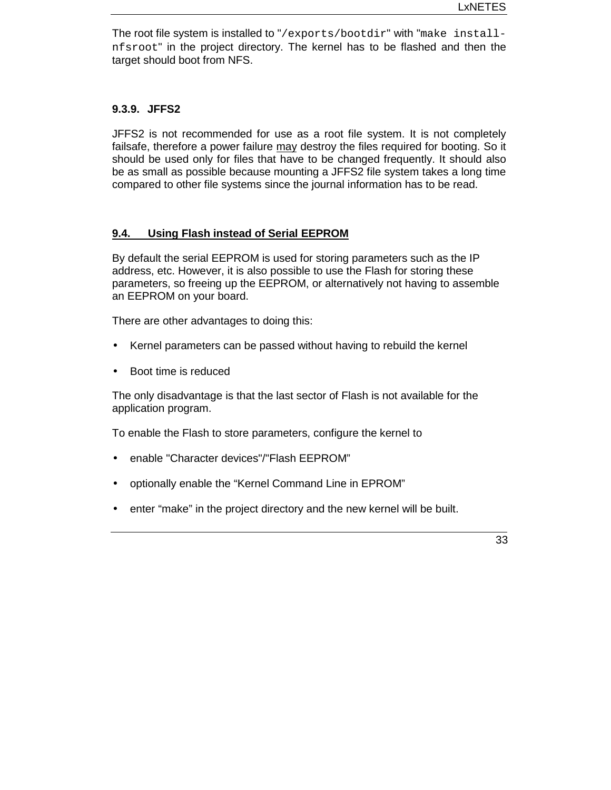The root file system is installed to "/exports/bootdir" with "make installnfsroot" in the project directory. The kernel has to be flashed and then the target should boot from NFS.

#### **9.3.9. JFFS2**

JFFS2 is not recommended for use as a root file system. It is not completely failsafe, therefore a power failure may destroy the files required for booting. So it should be used only for files that have to be changed frequently. It should also be as small as possible because mounting a JFFS2 file system takes a long time compared to other file systems since the journal information has to be read.

#### **9.4. Using Flash instead of Serial EEPROM**

By default the serial EEPROM is used for storing parameters such as the IP address, etc. However, it is also possible to use the Flash for storing these parameters, so freeing up the EEPROM, or alternatively not having to assemble an EEPROM on your board.

There are other advantages to doing this:

- Kernel parameters can be passed without having to rebuild the kernel
- Boot time is reduced

The only disadvantage is that the last sector of Flash is not available for the application program.

To enable the Flash to store parameters, configure the kernel to

- enable "Character devices"/"Flash EEPROM"
- optionally enable the "Kernel Command Line in EPROM"
- enter "make" in the project directory and the new kernel will be built.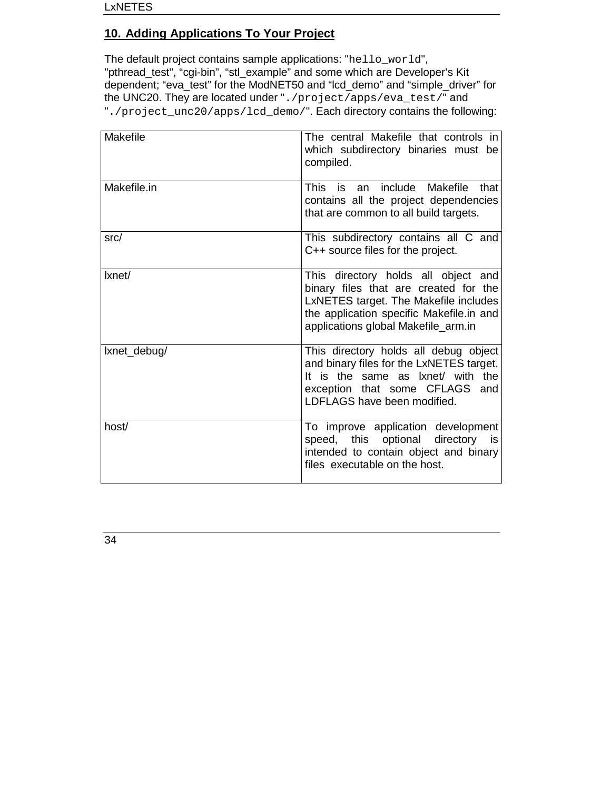# **10. Adding Applications To Your Project**

The default project contains sample applications: "hello\_world", "pthread\_test", "cgi-bin", "stl\_example" and some which are Developer's Kit dependent; "eva\_test" for the ModNET50 and "lcd\_demo" and "simple\_driver" for the UNC20. They are located under "./project/apps/eva\_test/" and "./project\_unc20/apps/lcd\_demo/". Each directory contains the following:

| Makefile     | The central Makefile that controls in<br>which subdirectory binaries must be<br>compiled.                                                                                                                |
|--------------|----------------------------------------------------------------------------------------------------------------------------------------------------------------------------------------------------------|
| Makefile.in  | include Makefile<br><b>This</b><br>that<br>is<br>an<br>contains all the project dependencies<br>that are common to all build targets.                                                                    |
| src/         | This subdirectory contains all C and<br>C++ source files for the project.                                                                                                                                |
| Ixnet/       | This directory holds all object and<br>binary files that are created for the<br>LxNETES target. The Makefile includes<br>the application specific Makefile.in and<br>applications global Makefile_arm.in |
| lxnet_debug/ | This directory holds all debug object<br>and binary files for the LxNETES target.<br>It is the same as lxnet/ with the<br>exception that some CFLAGS and<br>LDFLAGS have been modified.                  |
| host/        | To improve application development<br>speed, this optional<br>directory<br>is<br>intended to contain object and binary<br>files executable on the host.                                                  |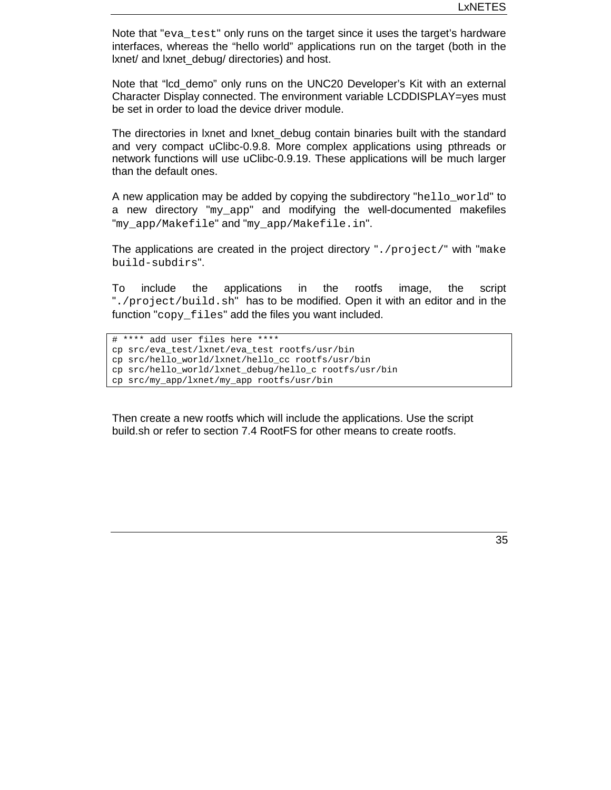Note that "eva\_test" only runs on the target since it uses the target's hardware interfaces, whereas the "hello world" applications run on the target (both in the lxnet/ and lxnet\_debug/ directories) and host.

Note that "Icd demo" only runs on the UNC20 Developer's Kit with an external Character Display connected. The environment variable LCDDISPLAY=yes must be set in order to load the device driver module.

The directories in lxnet and lxnet\_debug contain binaries built with the standard and very compact uClibc-0.9.8. More complex applications using pthreads or network functions will use uClibc-0.9.19. These applications will be much larger than the default ones.

A new application may be added by copying the subdirectory "hello\_world" to a new directory "my\_app" and modifying the well-documented makefiles "my\_app/Makefile" and "my\_app/Makefile.in".

The applications are created in the project directory  $\cdot$ ,  $\gamma$  /project/" with "make build-subdirs".

To include the applications in the rootfs image, the script "./project/build.sh" has to be modified. Open it with an editor and in the function "copy files" add the files you want included.

```
# **** add user files here ****
cp src/eva_test/lxnet/eva_test rootfs/usr/bin
cp src/hello_world/lxnet/hello_cc rootfs/usr/bin
cp src/hello_world/lxnet_debug/hello_c rootfs/usr/bin
cp src/my_app/lxnet/my_app rootfs/usr/bin
```
Then create a new rootfs which will include the applications. Use the script build.sh or refer to section 7.4 RootFS for other means to create rootfs.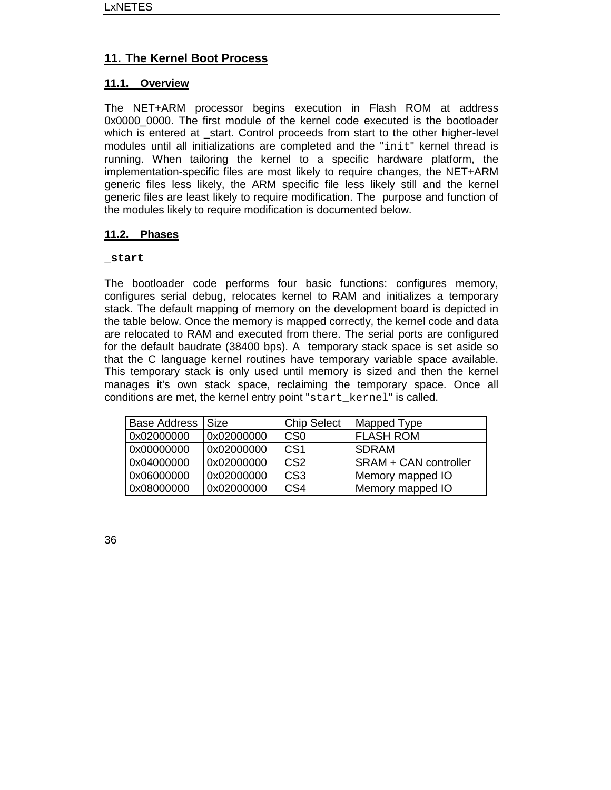# **11. The Kernel Boot Process**

## **11.1. Overview**

The NET+ARM processor begins execution in Flash ROM at address 0x0000\_0000. The first module of the kernel code executed is the bootloader which is entered at start. Control proceeds from start to the other higher-level modules until all initializations are completed and the "init" kernel thread is running. When tailoring the kernel to a specific hardware platform, the implementation-specific files are most likely to require changes, the NET+ARM generic files less likely, the ARM specific file less likely still and the kernel generic files are least likely to require modification. The purpose and function of the modules likely to require modification is documented below.

#### **11.2. Phases**

#### **\_start**

The bootloader code performs four basic functions: configures memory, configures serial debug, relocates kernel to RAM and initializes a temporary stack. The default mapping of memory on the development board is depicted in the table below. Once the memory is mapped correctly, the kernel code and data are relocated to RAM and executed from there. The serial ports are configured for the default baudrate (38400 bps). A temporary stack space is set aside so that the C language kernel routines have temporary variable space available. This temporary stack is only used until memory is sized and then the kernel manages it's own stack space, reclaiming the temporary space. Once all conditions are met, the kernel entry point "start kernel" is called.

| <b>Base Address</b> | <b>Size</b> | <b>Chip Select</b> | Mapped Type                  |
|---------------------|-------------|--------------------|------------------------------|
| 0x02000000          | 0x02000000  | C <sub>S0</sub>    | <b>FLASH ROM</b>             |
| 0x00000000          | 0x02000000  | CS <sub>1</sub>    | <b>SDRAM</b>                 |
| 0x04000000          | 0x02000000  | CS <sub>2</sub>    | <b>SRAM + CAN controller</b> |
| 0x06000000          | 0x02000000  | CS <sub>3</sub>    | Memory mapped IO             |
| 0x08000000          | 0x02000000  | CS <sub>4</sub>    | Memory mapped IO             |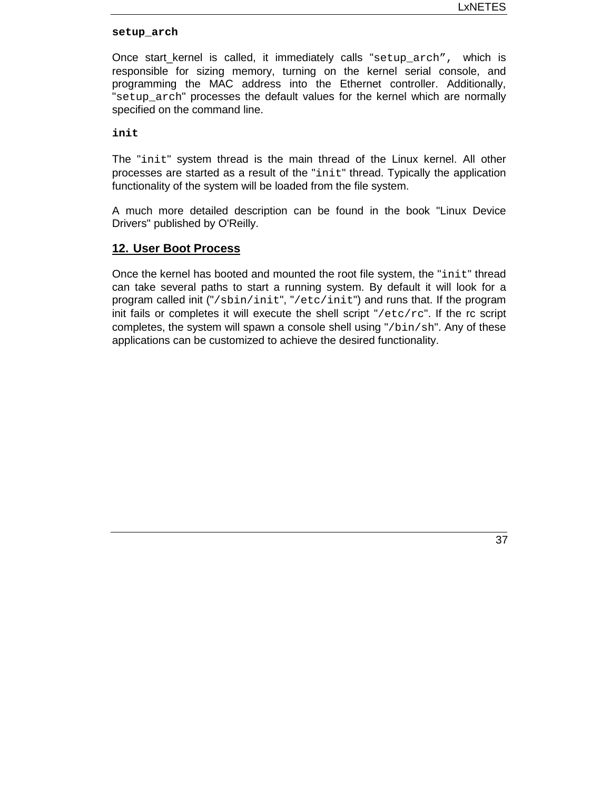#### **setup\_arch**

Once start kernel is called, it immediately calls "setup arch", which is responsible for sizing memory, turning on the kernel serial console, and programming the MAC address into the Ethernet controller. Additionally, "setup\_arch" processes the default values for the kernel which are normally specified on the command line.

**init**

The "init" system thread is the main thread of the Linux kernel. All other processes are started as a result of the "init" thread. Typically the application functionality of the system will be loaded from the file system.

A much more detailed description can be found in the book "Linux Device Drivers" published by O'Reilly.

#### **12. User Boot Process**

Once the kernel has booted and mounted the root file system, the "init" thread can take several paths to start a running system. By default it will look for a program called init ("/sbin/init", "/etc/init") and runs that. If the program init fails or completes it will execute the shell script "/etc/rc". If the rc script completes, the system will spawn a console shell using "/bin/sh". Any of these applications can be customized to achieve the desired functionality.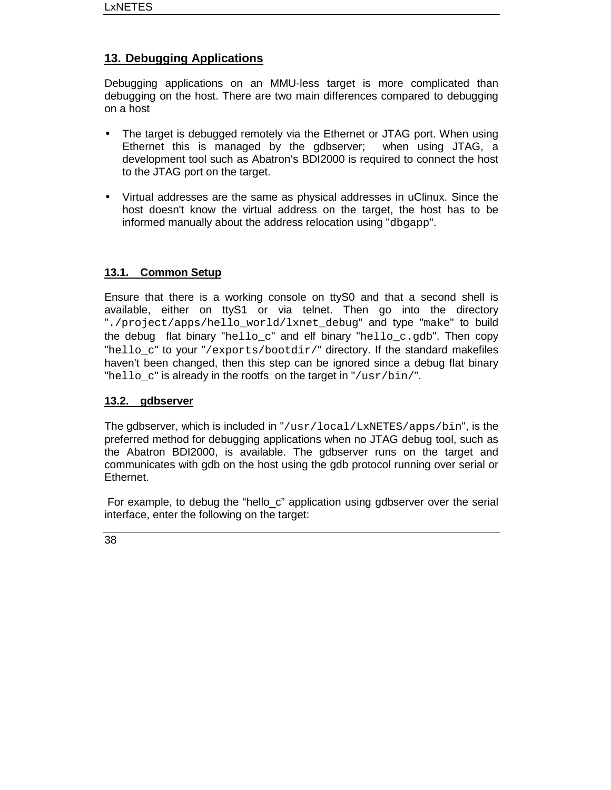# **13. Debugging Applications**

Debugging applications on an MMU-less target is more complicated than debugging on the host. There are two main differences compared to debugging on a host

- The target is debugged remotely via the Ethernet or JTAG port. When using Ethernet this is managed by the gdbserver; when using JTAG, a development tool such as Abatron's BDI2000 is required to connect the host to the JTAG port on the target.
- Virtual addresses are the same as physical addresses in uClinux. Since the host doesn't know the virtual address on the target, the host has to be informed manually about the address relocation using "dbgapp".

# **13.1. Common Setup**

Ensure that there is a working console on ttyS0 and that a second shell is available, either on ttyS1 or via telnet. Then go into the directory "./project/apps/hello\_world/lxnet\_debug" and type "make" to build the debug flat binary "hello  $c$ " and elf binary "hello  $c$ .gdb". Then copy "hello  $c$ " to your "/exports/bootdir/" directory. If the standard makefiles haven't been changed, then this step can be ignored since a debug flat binary "hello\_c" is already in the rootfs on the target in "/usr/bin/".

## **13.2. gdbserver**

The gdbserver, which is included in  $\frac{r}{\text{snr}}$  local/LxNETES/apps/bin", is the preferred method for debugging applications when no JTAG debug tool, such as the Abatron BDI2000, is available. The gdbserver runs on the target and communicates with gdb on the host using the gdb protocol running over serial or Ethernet.

 For example, to debug the "hello\_c" application using gdbserver over the serial interface, enter the following on the target: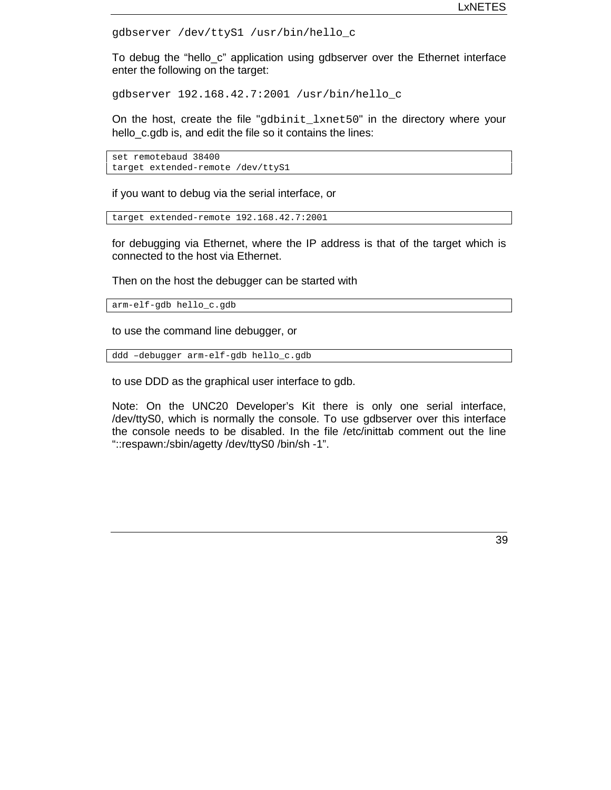```
gdbserver /dev/ttyS1 /usr/bin/hello_c
```
To debug the "hello\_c" application using gdbserver over the Ethernet interface enter the following on the target:

gdbserver 192.168.42.7:2001 /usr/bin/hello\_c

On the host, create the file "gdbinit\_lxnet50" in the directory where your hello c.gdb is, and edit the file so it contains the lines:

```
set remotebaud 38400
target extended-remote /dev/ttyS1
```
if you want to debug via the serial interface, or

```
target extended-remote 192.168.42.7:2001
```
for debugging via Ethernet, where the IP address is that of the target which is connected to the host via Ethernet.

Then on the host the debugger can be started with

```
arm-elf-gdb hello_c.gdb
```
to use the command line debugger, or

```
ddd –debugger arm-elf-gdb hello_c.gdb
```
to use DDD as the graphical user interface to gdb.

Note: On the UNC20 Developer's Kit there is only one serial interface, /dev/ttyS0, which is normally the console. To use gdbserver over this interface the console needs to be disabled. In the file /etc/inittab comment out the line "::respawn:/sbin/agetty /dev/ttyS0 /bin/sh -1".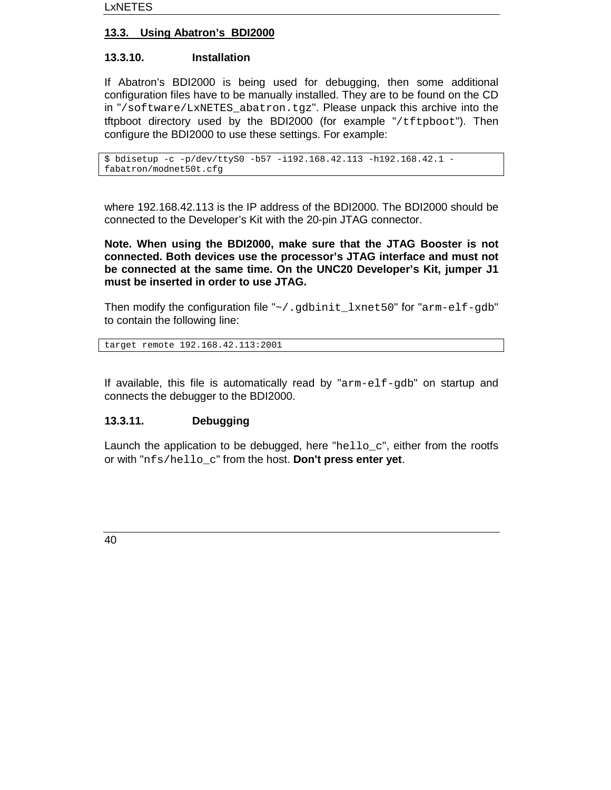# **13.3. Using Abatron's BDI2000**

# **13.3.10. Installation**

If Abatron's BDI2000 is being used for debugging, then some additional configuration files have to be manually installed. They are to be found on the CD in "/software/LxNETES\_abatron.tgz". Please unpack this archive into the tftpboot directory used by the BDI2000 (for example "/tftpboot"). Then configure the BDI2000 to use these settings. For example:

```
$ bdisetup -c -p/dev/ttyS0 -b57 -i192.168.42.113 -h192.168.42.1 -
fabatron/modnet50t.cfg
```
where 192.168.42.113 is the IP address of the BDI2000. The BDI2000 should be connected to the Developer's Kit with the 20-pin JTAG connector.

**Note. When using the BDI2000, make sure that the JTAG Booster is not connected. Both devices use the processor's JTAG interface and must not be connected at the same time. On the UNC20 Developer's Kit, jumper J1 must be inserted in order to use JTAG.**

Then modify the configuration file "~/.gdbinit\_lxnet50" for "arm-elf-gdb" to contain the following line:

target remote 192.168.42.113:2001

If available, this file is automatically read by "arm-elf-gdb" on startup and connects the debugger to the BDI2000.

# **13.3.11. Debugging**

Launch the application to be debugged, here " $h$ ello\_c", either from the rootfs or with "nfs/hello\_c" from the host. **Don't press enter yet**.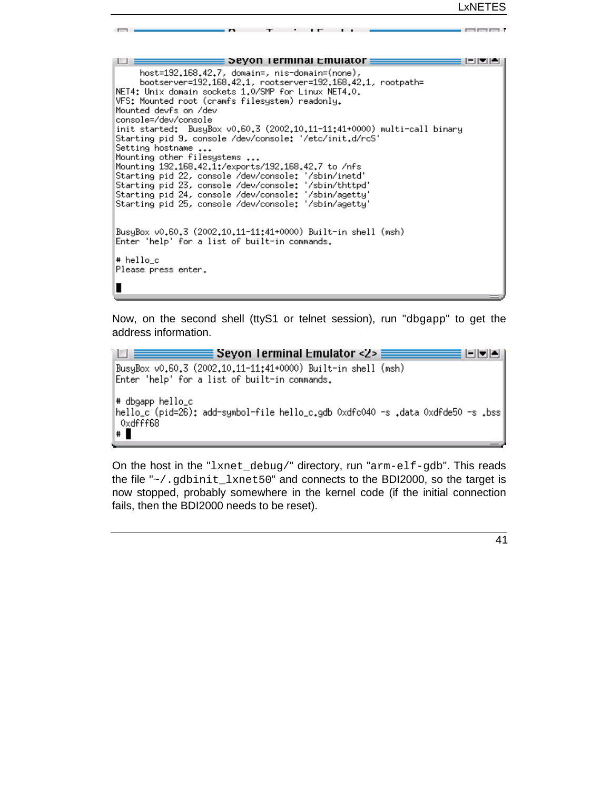. mend

| Seyon Terminal Emulator                                                                                                                                                                                                                                                                                                                                                                                                                                                                                                                                                                                                                                                                                                                                                                             |
|-----------------------------------------------------------------------------------------------------------------------------------------------------------------------------------------------------------------------------------------------------------------------------------------------------------------------------------------------------------------------------------------------------------------------------------------------------------------------------------------------------------------------------------------------------------------------------------------------------------------------------------------------------------------------------------------------------------------------------------------------------------------------------------------------------|
| host=192.168.42.7, domain=, nis-domain=(none),<br>bootserver=192.168.42.1,                                   rootserver=192.168.42.1,        rootpath=<br>NET4: Unix domain sockets 1.0/SMP for Linux NET4.0.<br>VFS: Mounted root (cramfs filesystem) readonly.<br>Mounted devfs on /dev<br>console=/dev/console<br>init started: BusyBox v0.60.3 (2002.10.11-11:41+0000) multi-call binary<br>Starting pid 9, console /dev/console: '/etc/init.d/rcS'<br>Setting hostname<br>Mounting other filesystems<br>Mounting 192,168,42,1:/exports/192,168,42,7 to /nfs<br>Starting pid 22, console /dev/console: '/sbin/inetd'<br>Starting pid 23, console /dev/console: '/sbin/thttpd'<br>Starting pid 24, console /dev/console: '/sbin/agetty'<br>Starting pid 25, console /dev/console: '/sbin/agetty' |
| BusyBox v0.60.3 (2002.10.11-11:41+0000) Built-in shell (msh)<br>Enter 'help' for a list of built-in commands.                                                                                                                                                                                                                                                                                                                                                                                                                                                                                                                                                                                                                                                                                       |
| # hello c<br>Please press enter.                                                                                                                                                                                                                                                                                                                                                                                                                                                                                                                                                                                                                                                                                                                                                                    |
|                                                                                                                                                                                                                                                                                                                                                                                                                                                                                                                                                                                                                                                                                                                                                                                                     |

 $\overline{1}$ 

Now, on the second shell (ttyS1 or telnet session), run "dbgapp" to get the address information.

```
\equiv Seyon Terminal Emulator <2> \equivH.
                                                                          1-1-1-
BusyBox v0.60.3 (2002.10.11-11:41+0000) Built-in shell (msh)
Enter 'help' for a list of built-in commands.
# dbgapp hello_c
hello_c (pid=26); add-symbol-file hello_c.gdb 0xdfc040 -s .data 0xdfde50 -s .bss|
0xdfff68
\ddagger
```
On the host in the "lxnet\_debug/" directory, run "arm-elf-gdb". This reads the file "~/.gdbinit\_lxnet50" and connects to the BDI2000, so the target is now stopped, probably somewhere in the kernel code (if the initial connection fails, then the BDI2000 needs to be reset).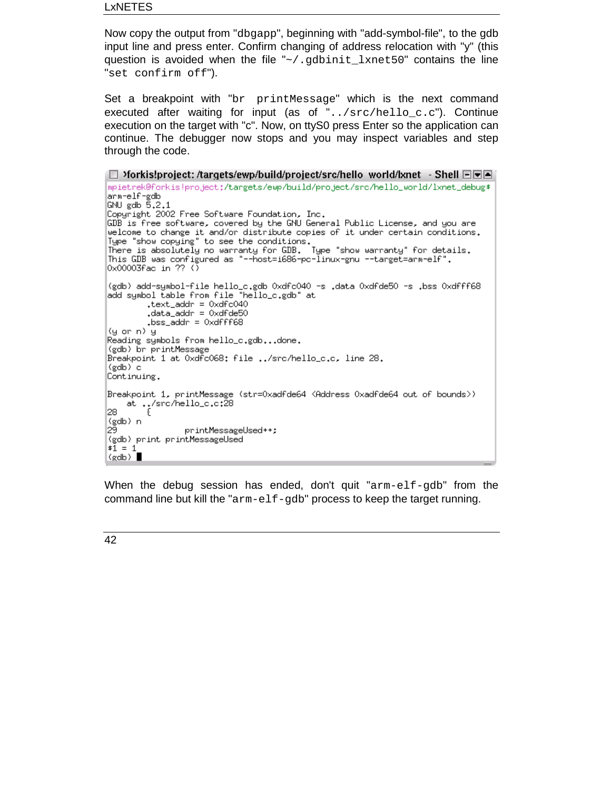LxNETES

Now copy the output from "dbgapp", beginning with "add-symbol-file", to the gdb input line and press enter. Confirm changing of address relocation with "y" (this question is avoided when the file "~/.gdbinit\_lxnet50" contains the line "set confirm off").

Set a breakpoint with "br printMessage" which is the next command executed after waiting for input (as of "../src/hello\_c.c"). Continue execution on the target with "c". Now, on ttyS0 press Enter so the application can continue. The debugger now stops and you may inspect variables and step through the code.

```
D >forkis!project: /targets/ewp/build/project/src/hello world/lxnet - Shell DDA
mpietrek@forkis!project;/targets/ewp/build/project/src/hello_world/lxnet_debug$
arm-elf-gdb
GNU gdb \bar{5}.2.1
Copyright 2002 Free Software Foundation, Inc.
GDB is free software, covered by the GNU General Public License, and you are
welcome to change it and/or distribute copies of it under certain conditions.
Weicome to change it and/or discribute copies of it under certain conditions<br>Type "show copying" to see the conditions.<br>There is absolutely no warranty for GDB. Type "show warranty" for details.
This GDB was configured as "--host=i686-pc-linux-gnu --target=arm-elf".
0 \times 00003 fac in ?? ()
(gdb) add-symbol-file hello_c.gdb 0xdfc040 -s .data 0xdfde50 -s .bss 0xdfff68
add symbol table from file "hello_c.gdb" at
         .text_addr = 0xdfc040
         .data_addr = 0xdfde50
          \frac{1}{2} bss_addr = 0xdfff68
(y \text{ or } n) y
Reading symbols from hello_c.gdb...done.
(gdb) br printMessage
Breakpoint 1 at 0xdfc068: file ../src/hello_c.c, line 28.
(gdb) c
Continuing.
Breakpoint 1, printMessage (str=Oxadfde64 <Address Oxadfde64 out of bounds>)
    akpoint 1, printmessage<br>at ../src/hello_c.c:28<br>{
28.
(gdb) n
29.
                   printMessageUsed++;
(gdb) print printMessageUsed
$1 = 1(gdb)
```
When the debug session has ended, don't quit " $arm$ - $eff$ -gdb" from the command line but kill the "arm-elf-gdb" process to keep the target running.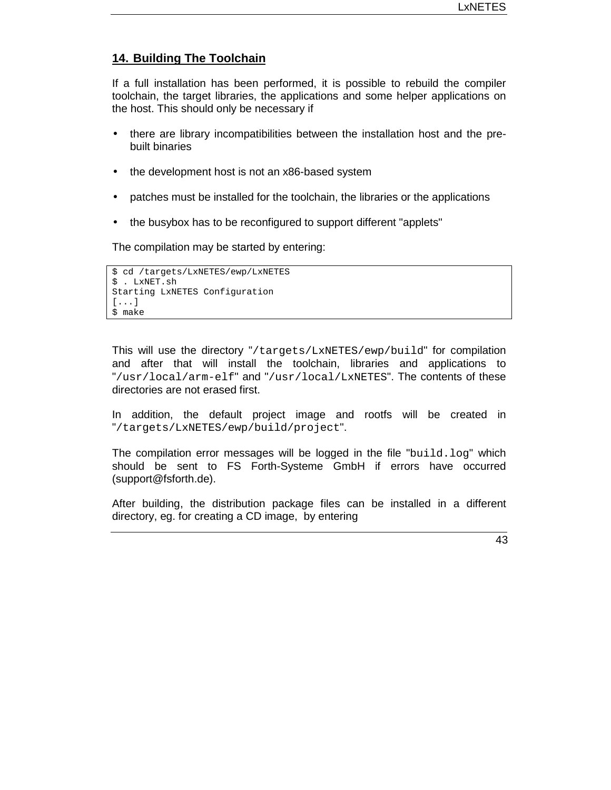## **14. Building The Toolchain**

If a full installation has been performed, it is possible to rebuild the compiler toolchain, the target libraries, the applications and some helper applications on the host. This should only be necessary if

- there are library incompatibilities between the installation host and the prebuilt binaries
- the development host is not an x86-based system
- patches must be installed for the toolchain, the libraries or the applications
- the busybox has to be reconfigured to support different "applets"

The compilation may be started by entering:

```
$ cd /targets/LxNETES/ewp/LxNETES
$ . LxNET.sh
Starting LxNETES Configuration
[...]
$ make
```
This will use the directory "/targets/LxNETES/ewp/build" for compilation and after that will install the toolchain, libraries and applications to "/usr/local/arm-elf" and "/usr/local/LxNETES". The contents of these directories are not erased first.

In addition, the default project image and rootfs will be created in "/targets/LxNETES/ewp/build/project".

The compilation error messages will be logged in the file "build.log" which should be sent to FS Forth-Systeme GmbH if errors have occurred (support@fsforth.de).

After building, the distribution package files can be installed in a different directory, eg. for creating a CD image, by entering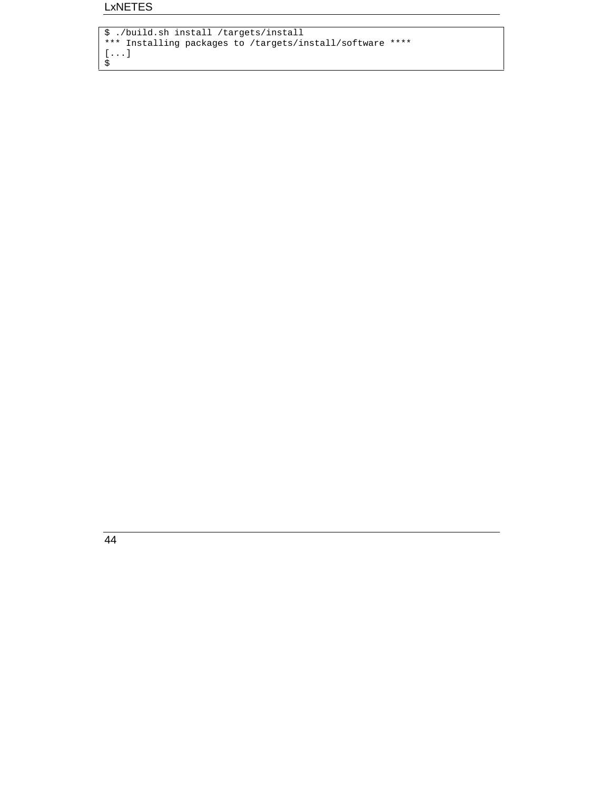```
$ ./build.sh install /targets/install
*** Installing packages to /targets/install/software ****
[...]
\ddot{\mathsf{s}}
```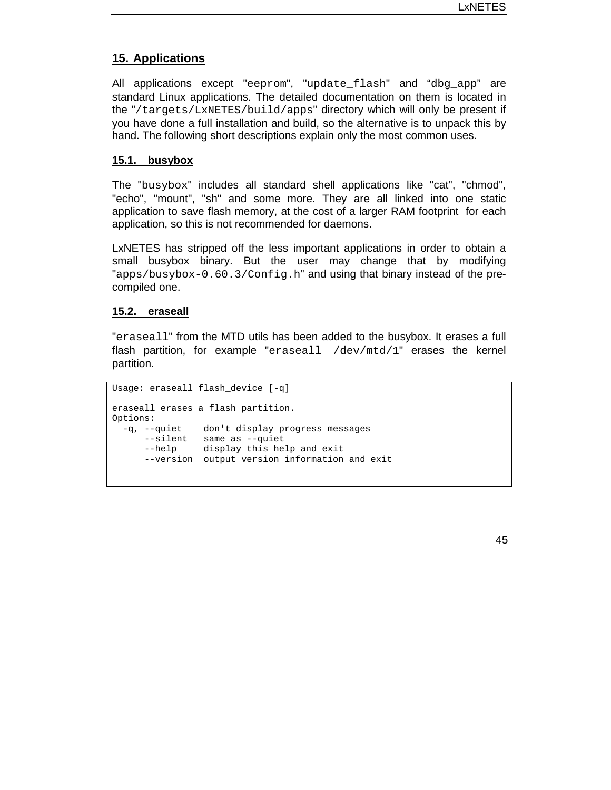#### **15. Applications**

All applications except "eeprom", "update\_flash" and "dbg\_app" are standard Linux applications. The detailed documentation on them is located in the "/targets/LxNETES/build/apps" directory which will only be present if you have done a full installation and build, so the alternative is to unpack this by hand. The following short descriptions explain only the most common uses.

#### **15.1. busybox**

The "busybox" includes all standard shell applications like "cat", "chmod", "echo", "mount", "sh" and some more. They are all linked into one static application to save flash memory, at the cost of a larger RAM footprint for each application, so this is not recommended for daemons.

LxNETES has stripped off the less important applications in order to obtain a small busybox binary. But the user may change that by modifying "apps/busybox-0.60.3/Config.h" and using that binary instead of the precompiled one.

#### **15.2. eraseall**

"eraseall" from the MTD utils has been added to the busybox. It erases a full flash partition, for example "eraseall /dev/mtd/1" erases the kernel partition.

```
Usage: eraseall flash_device [-q]
eraseall erases a flash partition.
Options:
 -q, --quiet don't display progress messages
     --silent same as --quiet
      --help display this help and exit
      --version output version information and exit
```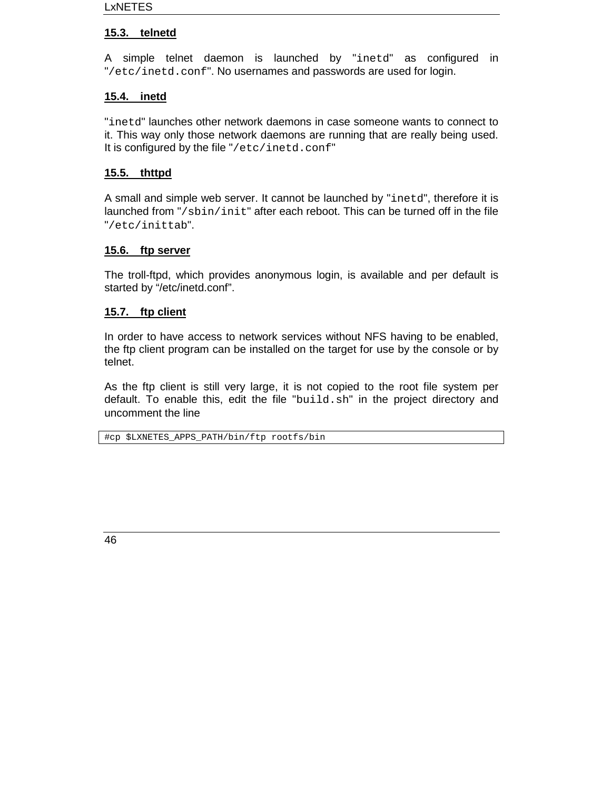# **15.3. telnetd**

A simple telnet daemon is launched by "inetd" as configured in "/etc/inetd.conf". No usernames and passwords are used for login.

# **15.4. inetd**

"inetd" launches other network daemons in case someone wants to connect to it. This way only those network daemons are running that are really being used. It is configured by the file "/etc/inetd.conf"

# **15.5. thttpd**

A small and simple web server. It cannot be launched by "inetd", therefore it is launched from "/sbin/init" after each reboot. This can be turned off in the file "/etc/inittab".

# **15.6. ftp server**

The troll-ftpd, which provides anonymous login, is available and per default is started by "/etc/inetd.conf".

#### **15.7. ftp client**

In order to have access to network services without NFS having to be enabled, the ftp client program can be installed on the target for use by the console or by telnet.

As the ftp client is still very large, it is not copied to the root file system per default. To enable this, edit the file "build.sh" in the project directory and uncomment the line

#cp \$LXNETES\_APPS\_PATH/bin/ftp rootfs/bin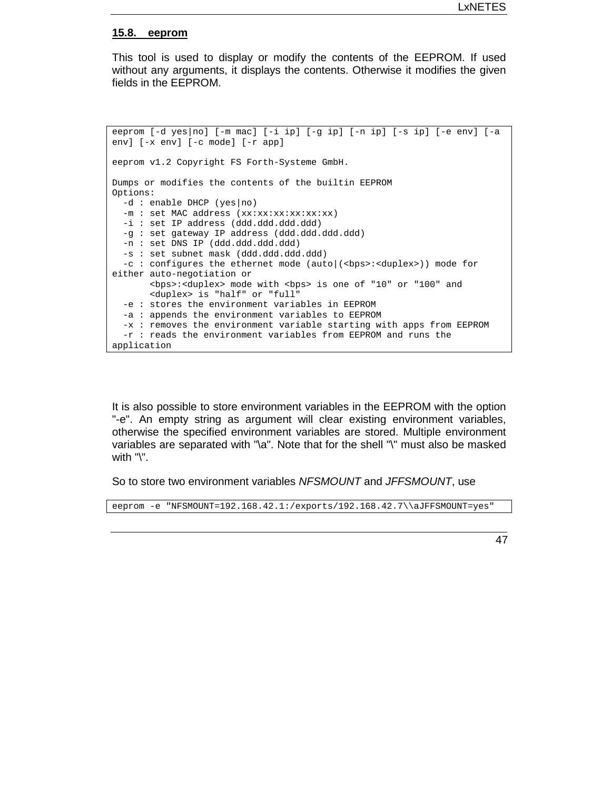#### **15.8. eeprom**

This tool is used to display or modify the contents of the EEPROM. If used without any arguments, it displays the contents. Otherwise it modifies the given fields in the EEPROM.

eeprom [-d yes|no] [-m mac] [-i ip] [-g ip] [-n ip] [-s ip] [-e env] [-a env] [-x env] [-c mode] [-r app] eeprom v1.2 Copyright FS Forth-Systeme GmbH. Dumps or modifies the contents of the builtin EEPROM Options: -d : enable DHCP (yes|no) -m : set MAC address (xx:xx:xx:xx:xx:xx) -i : set IP address (ddd.ddd.ddd.ddd) -g : set gateway IP address (ddd.ddd.ddd.ddd) -n : set DNS IP (ddd.ddd.ddd.ddd) -s : set subnet mask (ddd.ddd.ddd.ddd) -c : configures the ethernet mode (auto (<br/>(<br/>ebps>:<duplex>)) mode for either auto-negotiation or <bps>:<duplex> mode with <bps> is one of "10" or "100" and <duplex> is "half" or "full" -e : stores the environment variables in EEPROM -a : appends the environment variables to EEPROM -x : removes the environment variable starting with apps from EEPROM -r : reads the environment variables from EEPROM and runs the application

It is also possible to store environment variables in the EEPROM with the option "-e". An empty string as argument will clear existing environment variables, otherwise the specified environment variables are stored. Multiple environment variables are separated with "\a". Note that for the shell "\" must also be masked with "\".

So to store two environment variables *NFSMOUNT* and *JFFSMOUNT*, use

eeprom -e "NFSMOUNT=192.168.42.1:/exports/192.168.42.7\\aJFFSMOUNT=yes"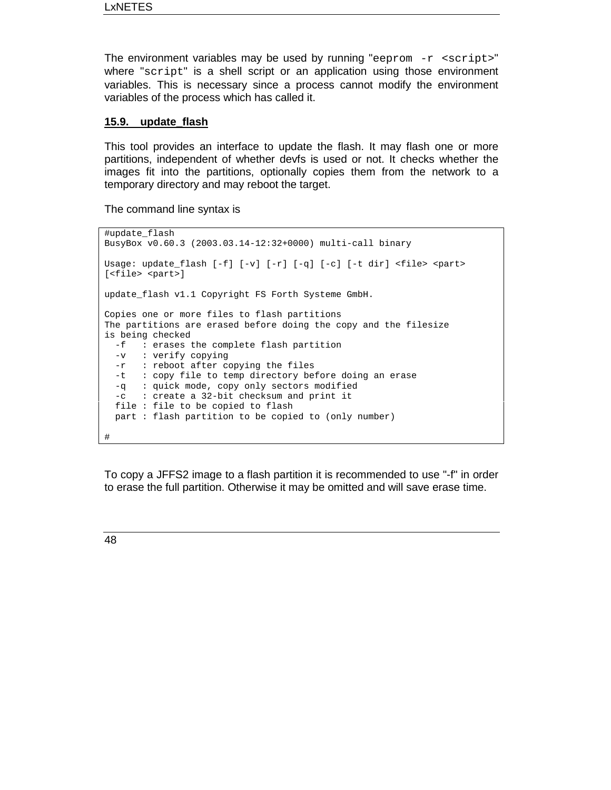The environment variables may be used by running "eeprom  $-r$  <script>" where "script" is a shell script or an application using those environment variables. This is necessary since a process cannot modify the environment variables of the process which has called it.

#### **15.9. update\_flash**

This tool provides an interface to update the flash. It may flash one or more partitions, independent of whether devfs is used or not. It checks whether the images fit into the partitions, optionally copies them from the network to a temporary directory and may reboot the target.

The command line syntax is

```
#update_flash
BusyBox v0.60.3 (2003.03.14-12:32+0000) multi-call binary
Usage: update_flash [-f] [-v] [-r] [-q] [-c] [-t dir] <file> <part>
[<file> <part>]
update_flash v1.1 Copyright FS Forth Systeme GmbH.
Copies one or more files to flash partitions
The partitions are erased before doing the copy and the filesize
is being checked
 -f : erases the complete flash partition
 -v : verify copying
 -r : reboot after copying the files
 -t : copy file to temp directory before doing an erase
 -q : quick mode, copy only sectors modified
 -c : create a 32-bit checksum and print it
 file : file to be copied to flash
 part : flash partition to be copied to (only number)
#
```
To copy a JFFS2 image to a flash partition it is recommended to use "-f" in order to erase the full partition. Otherwise it may be omitted and will save erase time.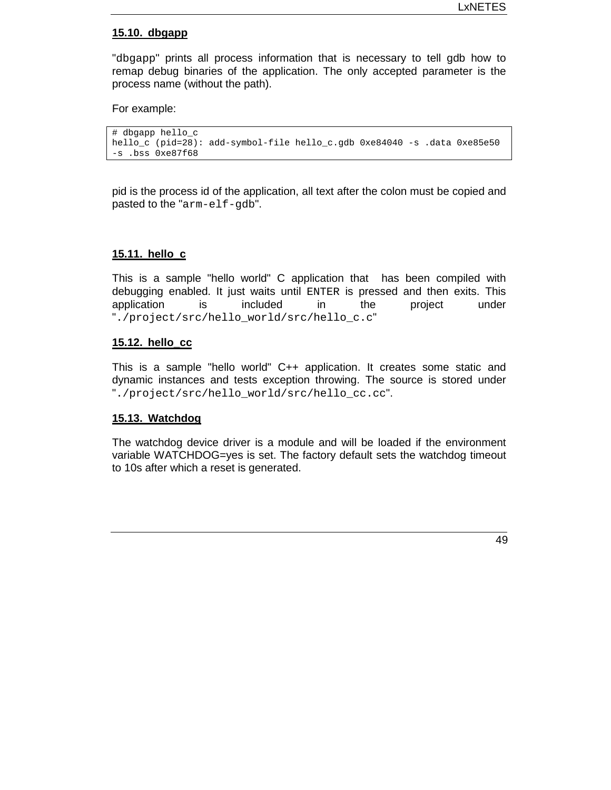#### **15.10. dbgapp**

"dbgapp" prints all process information that is necessary to tell gdb how to remap debug binaries of the application. The only accepted parameter is the process name (without the path).

For example:

```
# dbgapp hello_c
hello_c (pid=28): add-symbol-file hello_c.gdb 0xe84040 -s .data 0xe85e50
-s .bss 0xe87f68
```
pid is the process id of the application, all text after the colon must be copied and pasted to the "arm-elf-gdb".

#### **15.11. hello\_c**

This is a sample "hello world" C application that has been compiled with debugging enabled. It just waits until ENTER is pressed and then exits. This application is included in the project under "./project/src/hello\_world/src/hello\_c.c"

#### **15.12. hello\_cc**

This is a sample "hello world" C++ application. It creates some static and dynamic instances and tests exception throwing. The source is stored under "./project/src/hello\_world/src/hello\_cc.cc".

#### **15.13. Watchdog**

The watchdog device driver is a module and will be loaded if the environment variable WATCHDOG=yes is set. The factory default sets the watchdog timeout to 10s after which a reset is generated.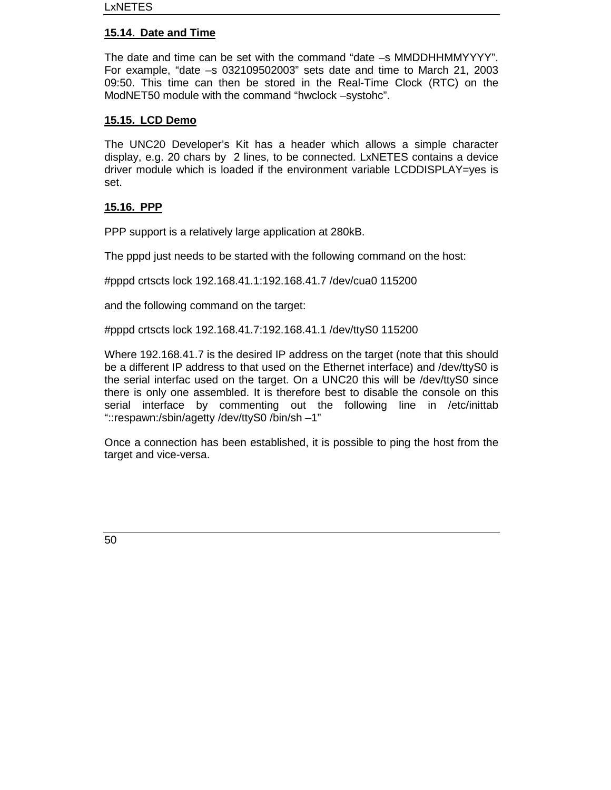## **15.14. Date and Time**

The date and time can be set with the command "date –s MMDDHHMMYYYY". For example, "date –s 032109502003" sets date and time to March 21, 2003 09:50. This time can then be stored in the Real-Time Clock (RTC) on the ModNET50 module with the command "hwclock –systohc".

#### **15.15. LCD Demo**

The UNC20 Developer's Kit has a header which allows a simple character display, e.g. 20 chars by 2 lines, to be connected. LxNETES contains a device driver module which is loaded if the environment variable LCDDISPLAY=yes is set.

#### **15.16. PPP**

PPP support is a relatively large application at 280kB.

The pppd just needs to be started with the following command on the host:

#pppd crtscts lock 192.168.41.1:192.168.41.7 /dev/cua0 115200

and the following command on the target:

#pppd crtscts lock 192.168.41.7:192.168.41.1 /dev/ttyS0 115200

Where 192.168.41.7 is the desired IP address on the target (note that this should be a different IP address to that used on the Ethernet interface) and /dev/ttyS0 is the serial interfac used on the target. On a UNC20 this will be /dev/ttyS0 since there is only one assembled. It is therefore best to disable the console on this serial interface by commenting out the following line in /etc/inittab "::respawn:/sbin/agetty /dev/ttyS0 /bin/sh –1"

Once a connection has been established, it is possible to ping the host from the target and vice-versa.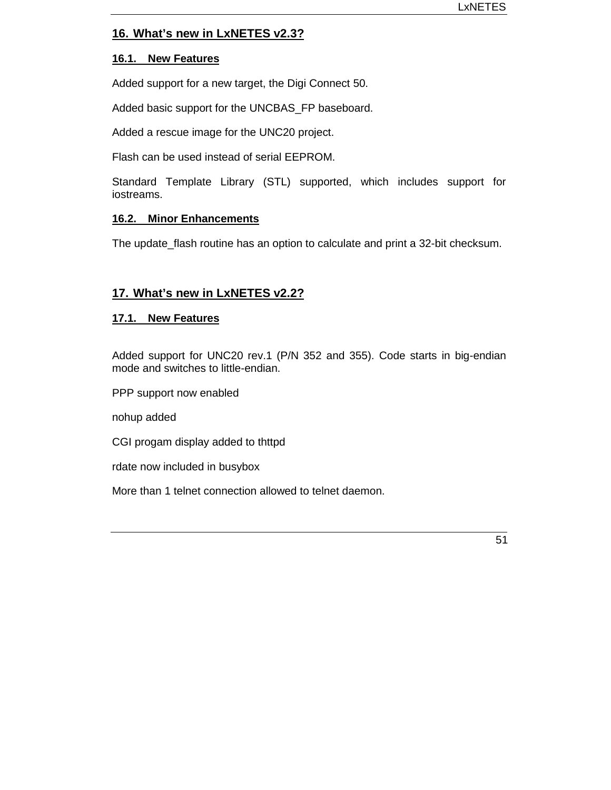# **16. What's new in LxNETES v2.3?**

#### **16.1. New Features**

Added support for a new target, the Digi Connect 50.

Added basic support for the UNCBAS\_FP baseboard.

Added a rescue image for the UNC20 project.

Flash can be used instead of serial EEPROM.

Standard Template Library (STL) supported, which includes support for iostreams.

#### **16.2. Minor Enhancements**

The update\_flash routine has an option to calculate and print a 32-bit checksum.

# **17. What's new in LxNETES v2.2?**

#### **17.1. New Features**

Added support for UNC20 rev.1 (P/N 352 and 355). Code starts in big-endian mode and switches to little-endian.

PPP support now enabled

nohup added

CGI progam display added to thttpd

rdate now included in busybox

More than 1 telnet connection allowed to telnet daemon.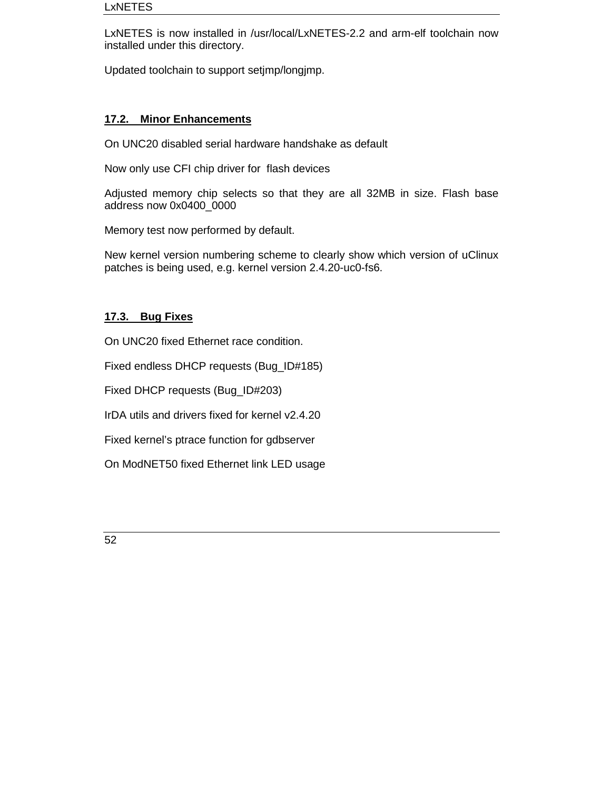LxNETES is now installed in /usr/local/LxNETES-2.2 and arm-elf toolchain now installed under this directory.

Updated toolchain to support setjmp/longjmp.

# **17.2. Minor Enhancements**

On UNC20 disabled serial hardware handshake as default

Now only use CFI chip driver for flash devices

Adjusted memory chip selects so that they are all 32MB in size. Flash base address now 0x0400\_0000

Memory test now performed by default.

New kernel version numbering scheme to clearly show which version of uClinux patches is being used, e.g. kernel version 2.4.20-uc0-fs6.

# **17.3. Bug Fixes**

On UNC20 fixed Ethernet race condition.

Fixed endless DHCP requests (Bug\_ID#185)

Fixed DHCP requests (Bug\_ID#203)

IrDA utils and drivers fixed for kernel v2.4.20

Fixed kernel's ptrace function for gdbserver

On ModNET50 fixed Ethernet link LED usage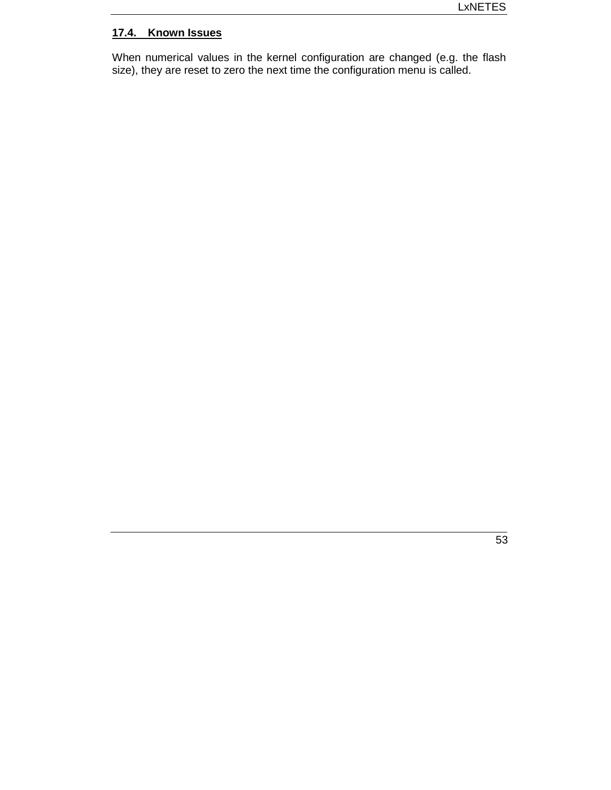# **17.4. Known Issues**

When numerical values in the kernel configuration are changed (e.g. the flash size), they are reset to zero the next time the configuration menu is called.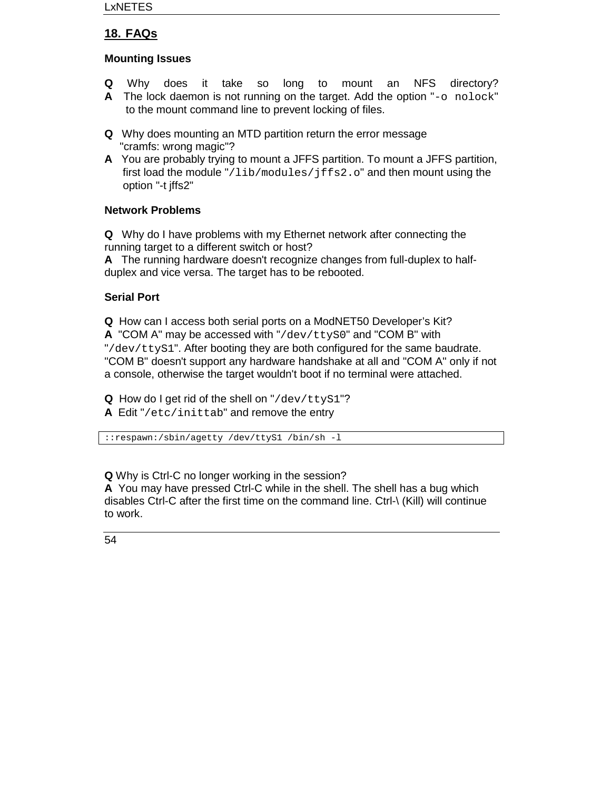# **18. FAQs**

# **Mounting Issues**

- **Q** Why does it take so long to mount an NFS directory?
- **A** The lock daemon is not running on the target. Add the option "-o nolock" to the mount command line to prevent locking of files.
- **Q** Why does mounting an MTD partition return the error message "cramfs: wrong magic"?
- **A** You are probably trying to mount a JFFS partition. To mount a JFFS partition, first load the module "/lib/modules/jffs2.o" and then mount using the option "-t jffs2"

# **Network Problems**

**Q** Why do I have problems with my Ethernet network after connecting the running target to a different switch or host?

**A** The running hardware doesn't recognize changes from full-duplex to halfduplex and vice versa. The target has to be rebooted.

# **Serial Port**

**Q** How can I access both serial ports on a ModNET50 Developer's Kit? **A** "COM A" may be accessed with "/dev/ttyS0" and "COM B" with "/dev/ttyS1". After booting they are both configured for the same baudrate. "COM B" doesn't support any hardware handshake at all and "COM A" only if not a console, otherwise the target wouldn't boot if no terminal were attached.

**Q** How do I get rid of the shell on "/dev/ttyS1"?

**A** Edit "/etc/inittab" and remove the entry

::respawn:/sbin/agetty /dev/ttyS1 /bin/sh -l

**Q** Why is Ctrl-C no longer working in the session?

**A** You may have pressed Ctrl-C while in the shell. The shell has a bug which disables Ctrl-C after the first time on the command line. Ctrl-\ (Kill) will continue to work.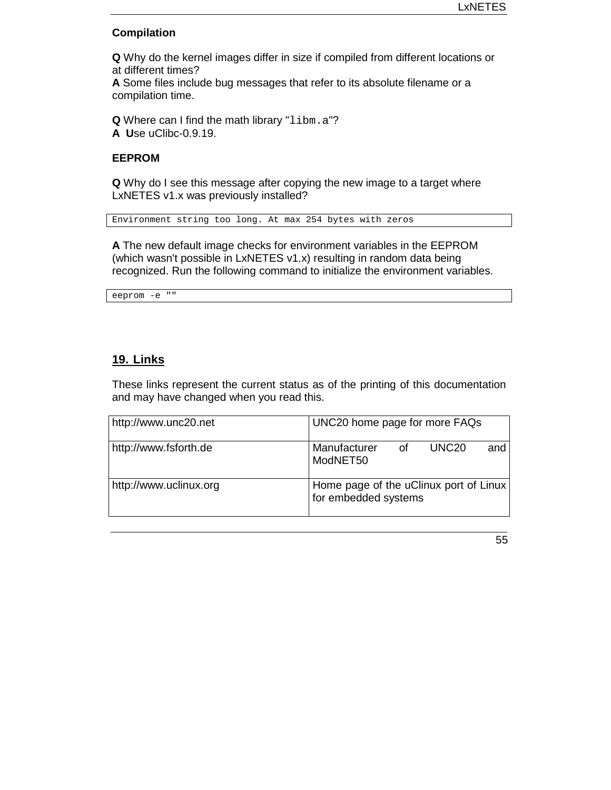#### **Compilation**

**Q** Why do the kernel images differ in size if compiled from different locations or at different times?

**A** Some files include bug messages that refer to its absolute filename or a compilation time.

**Q** Where can I find the math library "libm.a"? **A U**se uClibc-0.9.19.

#### **EEPROM**

**Q** Why do I see this message after copying the new image to a target where LxNETES v1.x was previously installed?

Environment string too long. At max 254 bytes with zeros

**A** The new default image checks for environment variables in the EEPROM (which wasn't possible in LxNETES v1.x) resulting in random data being recognized. Run the following command to initialize the environment variables.

```
eeprom -e ""
```
# **19. Links**

These links represent the current status as of the printing of this documentation and may have changed when you read this.

| http://www.unc20.net   | UNC20 home page for more FAQs                                  |
|------------------------|----------------------------------------------------------------|
| http://www.fsforth.de  | Manufacturer<br>UNC <sub>20</sub><br>οf<br>and<br>ModNET50     |
| http://www.uclinux.org | Home page of the uClinux port of Linux<br>for embedded systems |